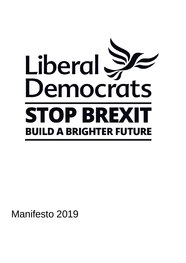

Manifesto 2019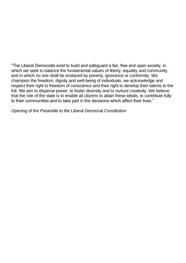"The Liberal Democrats exist to build and safeguard a fair, free and open society, in which we seek to balance the fundamental values of liberty, equality and community, and in which no one shall be enslaved by poverty, ignorance or conformity. We champion the freedom, dignity and well-being of individuals, we acknowledge and respect their right to freedom of conscience and their right to develop their talents to the full. We aim to disperse power, to foster diversity and to nurture creativity. We believe that the role of the state is to enable all citizens to attain these ideals, to contribute fully to their communities and to take part in the decisions which affect their lives."

*Opening of the Preamble to the Liberal Democrat Constitution*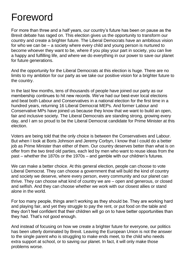# Foreword

For more than three and a half years, our country's future has been on pause as the Brexit debate has raged on. This election gives us the opportunity to transform our country and create a brighter future. The Liberal Democrats have an ambitious vision for who we can be – a society where every child and young person is nurtured to become whoever they want to be, where if you play your part in society, you can live a happy and fulfilling life, and where we do everything in our power to save our planet for future generations.

And the opportunity for the Liberal Democrats at this election is huge. There are no limits to my ambition for our party as we take our positive vision for a brighter future to the country.

In the last few months, tens of thousands of people have joined our party as our membership continues to hit new records. We've had our best-ever local elections and beat both Labour and Conservatives in a national election for the first time in a hundred years, returning 16 Liberal Democrat MEPs. And former Labour and Conservative MPs have joined us because they know that we want to build an open, fair and inclusive society. The Liberal Democrats are standing strong, growing every day, and I am so proud to be the Liberal Democrat candidate for Prime Minister at this election.

Voters are being told that the only choice is between the Conservatives and Labour. But when I look at Boris Johnson and Jeremy Corbyn, I know that I could do a better job as Prime Minister than either of them. Our country deserves better than what is on offer from the two tired old parties, each led by men who want to reuse ideas from the past – whether the 1870s or the 1970s – and gamble with our children's futures.

We can make a better choice. At this general election, people can choose to vote Liberal Democrat. They can choose a government that will build the kind of country and society we deserve, where every person, every community and our planet can thrive. They can choose what kind of country we are – open and generous, or closed and selfish. And they can choose whether we work with our closest allies or stand alone in the world.

For too many people, things aren't working as they should be. They are working hard and playing fair, and yet they struggle to pay the rent, or put food on the table and they don't feel confident that their children will go on to have better opportunities than they had. That's not good enough.

And instead of focusing on how we create a brighter future for everyone, our politics has been utterly dominated by Brexit. Leaving the European Union is not the answer to the single parent who is struggling to make ends meet, to the child who needs extra support at school, or to saving our planet. In fact, it will only make those problems worse.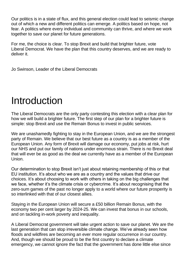Our politics is in a state of flux, and this general election could lead to seismic change out of which a new and different politics can emerge. A politics based on hope, not fear. A politics where every individual and community can thrive, and where we work together to save our planet for future generations.

For me, the choice is clear. To stop Brexit and build that brighter future, vote Liberal Democrat. We have the plan that this country deserves, and we are ready to deliver it.

Jo Swinson, Leader of the Liberal Democrats

# Introduction

The Liberal Democrats are the only party contesting this election with a clear plan for how we will build a brighter future. The first step of our plan for a brighter future is simple: stop Brexit and use the Remain Bonus to invest in public services.

We are unashamedly fighting to stay in the European Union, and we are the strongest party of Remain. We believe that our best future as a country is as a member of the European Union. Any form of Brexit will damage our economy, put jobs at risk, hurt our NHS and put our family of nations under enormous strain. There is no Brexit deal that will ever be as good as the deal we currently have as a member of the European Union.

Our determination to stop Brexit isn't just about retaining membership of this or that EU institution. It's about who we are as a country and the values that drive our choices. It's about choosing to work with others in taking on the big challenges that we face, whether it's the climate crisis or cybercrime. It's about recognising that the zero-sum games of the past no longer apply to a world where our future prosperity is so interlinked with that of our closest allies.

Staying in the European Union will secure a £50 billion Remain Bonus, with the economy two per cent larger by 2024-25. We can invest that bonus in our schools, and on tackling in-work poverty and inequality.

A Liberal Democrat government will take urgent action to save our planet. We are the last generation that can stop irreversible climate change. We've already seen how floods and wildfires are becoming an ever more regular occurrence in our country. And, though we should be proud to be the first country to declare a climate emergency, we cannot ignore the fact that the government has done little else since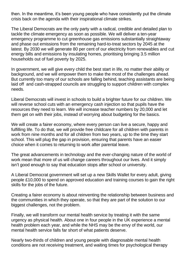then. In the meantime, it's been young people who have consistently put the climate crisis back on the agenda with their inspirational climate strikes.

The Liberal Democrats are the only party with a radical, credible and detailed plan to tackle the climate emergency as soon as possible. We will deliver a ten-year emergency programme to cut greenhouse gas emissions substantially straightaway and phase out emissions from the remaining hard-to-treat sectors by 2045 at the latest. By 2030 we will generate 80 per cent of our electricity from renewables and cut energy bills and emissions by insulating homes, prioritising bringing 3.5 million households out of fuel poverty by 2025.

In government, we will give every child the best start in life, no matter their ability or background, and we will empower them to make the most of the challenges ahead. But currently too many of our schools are falling behind, teaching assistants are being laid off and cash-strapped councils are struggling to support children with complex needs.

Liberal Democrats will invest in schools to build a brighter future for our children. We will reverse school cuts with an emergency cash injection so that pupils have the resources they need to learn. We will increase teacher numbers by 20,000 and let them get on with their jobs, instead of worrying about budgeting for the basics.

We will create a fairer economy, where every person can live a secure, happy and fulfilling life. To do that, we will provide free childcare for all children with parents in work from nine months and for all children from two years, up to the time they start school. This will plug the gap in provision, ensuring that parents have an easier choice when it comes to returning to work after parental leave.

The great advancements in technology and the ever-changing nature of the world of work mean that more of us will change careers throughout our lives. And it simply isn't good enough to say that education stops after school or university.

A Liberal Democrat government will set up a new Skills Wallet for every adult, giving people £10,000 to spend on approved education and training courses to gain the right skills for the jobs of the future.

Creating a fairer economy is about reinventing the relationship between business and the communities in which they operate, so that they are part of the solution to our biggest challenges, not the problem.

Finally, we will transform our mental health service by treating it with the same urgency as physical health. About one in four people in the UK experience a mental health problem each year, and while the NHS may be the envy of the world, our mental health service falls far short of what patients deserve.

Nearly two-thirds of children and young people with diagnosable mental health conditions are not receiving treatment, and waiting times for psychological therapy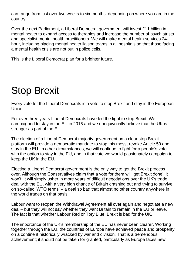can range from just over two weeks to six months, depending on where you are in the country.

Over the next Parliament, a Liberal Democrat government will invest £11 billion in mental health to expand access to therapies and increase the number of psychiatrists and specialist mental health practitioners. We will make mental health services 24 hour, including placing mental health liaison teams in all hospitals so that those facing a mental health crisis are not put in police cells.

This is the Liberal Democrat plan for a brighter future.

# Stop Brexit

Every vote for the Liberal Democrats is a vote to stop Brexit and stay in the European Union.

For over three years Liberal Democrats have led the fight to stop Brexit. We campaigned to stay in the EU in 2016 and we unequivocally believe that the UK is stronger as part of the EU.

The election of a Liberal Democrat majority government on a clear stop Brexit platform will provide a democratic mandate to stop this mess, revoke Article 50 and stay in the EU. In other circumstances, we will continue to fight for a people's vote with the option to stay in the EU, and in that vote we would passionately campaign to keep the UK in the EU.

Electing a Liberal Democrat government is the only way to get the Brexit process over. Although the Conservatives claim that a vote for them will 'get Brexit done', it won't: it will simply usher in more years of difficult negotiations over the UK's trade deal with the EU, with a very high chance of Britain crashing out and trying to survive on so-called 'WTO terms' – a deal so bad that almost no other country anywhere in the world trades on that basis.

Labour want to reopen the Withdrawal Agreement all over again and negotiate a new deal – but they will not say whether they want Britain to remain in the EU or leave. The fact is that whether Labour Red or Tory Blue, Brexit is bad for the UK.

The importance of the UK's membership of the EU has never been clearer. Working together through the EU, the countries of Europe have achieved peace and prosperity on a continent historically wracked by war and division. That is a tremendous achievement; it should not be taken for granted, particularly as Europe faces new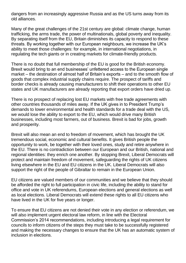dangers from an increasingly aggressive Russia and as the US turns away from its old alliances.

Many of the great challenges of the 21st century are global: climate change, human trafficking, the arms trade, the power of multinationals, global poverty and inequality. By separating itself from the EU, Britain diminishes its capacity to respond to these threats. By working together with our European neighbours, we increase the UK's ability to meet those challenges: for example, in international negotiations, in regulating the tech giants or in creating markets for climate-friendly products.

There is no doubt that full membership of the EU is good for the British economy. Brexit would bring to an end businesses' unfettered access to the European single market – the destination of almost half of Britain's exports – and to the smooth flow of goods that complex industrial supply chains require. The prospect of tariffs and border checks is already causing manufacturers to shift their operations to other EU states and UK manufacturers are already reporting that export orders have dried up.

There is no prospect of replacing lost EU markets with free trade agreements with other countries thousands of miles away. If the UK gives in to President Trump's demands to lower environmental and health standards for a trade deal with the US, we would lose the ability to export to the EU, which would drive many British businesses, including most farmers, out of business. Brexit is bad for jobs, growth and prosperity.

Brexit will also mean an end to freedom of movement, which has brought the UK tremendous social, economic and cultural benefits. It gives British people the opportunity to work, be together with their loved ones, study and retire anywhere in the EU. There is no contradiction between our European and our British, national and regional identities: they enrich one another. By stopping Brexit, Liberal Democrats will protect and maintain freedom of movement, safeguarding the rights of UK citizens living elsewhere in the EU and EU citizens in the UK. Liberal Democrats will also support the right of the people of Gibraltar to remain in the European Union.

EU citizens are valued members of our communities and we believe that they should be afforded the right to full participation in civic life, including the ability to stand for office and vote in UK referendums, European elections and general elections as well as local elections. Liberal Democrats will extend these rights to all EU citizens who have lived in the UK for five years or longer.

To ensure that EU citizens are not denied their vote in any election or referendum, we will also implement urgent electoral law reform, in line with the Electoral Commission's 2014 recommendations, including introducing a legal requirement for councils to inform citizens of the steps they must take to be successfully registered and making the necessary changes to ensure that the UK has an automatic system of inclusion in elections.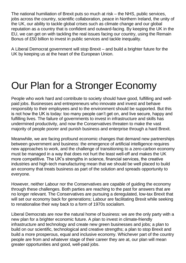The national humiliation of Brexit puts so much at risk – the NHS, public services, jobs across the country, scientific collaboration, peace in Northern Ireland, the unity of the UK, our ability to tackle global crises such as climate change and our global reputation as a country that is confident and outward-facing. By keeping the UK in the EU, we can get on with tackling the real issues facing our country, using the Remain Bonus of £50 billion to invest in public services and tackle inequality.

A Liberal Democrat government will stop Brexit – and build a brighter future for the UK by keeping us at the heart of the European Union.

# Our Plan for a Stronger Economy

People who work hard and contribute to society should have good, fulfilling and wellpaid jobs. Businesses and entrepreneurs who innovate and invest and behave responsibly to their employees and to the environment should be supported. But this is not how the UK is today: too many people can't get on, and live secure, happy and fulfilling lives. The failure of governments to invest in infrastructure and skills has undermined productivity, and now the Conservatives threaten to make the vast majority of people poorer and punish business and enterprise through a hard Brexit.

Meanwhile, we are facing profound economic changes that demand new partnerships between government and business: the emergence of artificial intelligence requires new approaches to work, and the challenge of transitioning to a zero-carbon economy must be managed in a way that does not hurt the least well-off and makes the UK more competitive. The UK's strengths in science, financial services, the creative industries and high-tech manufacturing mean that we should be well placed to build an economy that treats business as part of the solution and spreads opportunity to everyone.

However, neither Labour nor the Conservatives are capable of guiding the economy through these challenges. Both parties are reaching to the past for answers that are no longer relevant. The Conservatives are pursuing a deregulated, low-tax Brexit that will set our economy back for generations; Labour are facilitating Brexit while seeking to renationalise their way back to a form of 1970s socialism.

Liberal Democrats are now the natural home of business: we are the only party with a new plan for a brighter economic future. A plan to invest in climate-friendly infrastructure and technology and create new green businesses and jobs; a plan to build on our scientific, technological and creative strengths; a plan to stop Brexit and build a more prosperous, equal and inclusive economy. Whichever part of the country people are from and whatever stage of their career they are at, our plan will mean greater opportunities and good, well-paid jobs.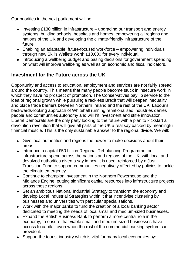Our priorities in the next parliament will be:

- Investing £130 billion in infrastructure upgrading our transport and energy systems, building schools, hospitals and homes, empowering all regions and nations of the UK and developing the climate-friendly infrastructure of the future.
- Enabling an adaptable, future-focused workforce empowering individuals through new Skills Wallets worth £10,000 for every individual.
- Introducing a wellbeing budget and basing decisions for government spending on what will improve wellbeing as well as on economic and fiscal indicators.

# **Investment for the Future across the UK**

Opportunity and access to education, employment and services are not fairly spread around the country. This means that many people become stuck in insecure work in which they have no prospect of promotion. The Conservatives pay lip service to the idea of regional growth while pursuing a reckless Brexit that will deepen inequality and place trade barriers between Northern Ireland and the rest of the UK; Labour's backwards-looking approach of Whitehall running renationalised industries denies people and communities autonomy and will hit investment and stifle innovation. Liberal Democrats are the only party looking to the future with a plan to kickstart a devolution revolution that will give all parts of the UK a real say backed by meaningful financial muscle. This is the only sustainable answer to the regional divide. We will:

- Give local authorities and regions the power to make decisions about their areas.
- Introduce a capital £50 billion Regional Rebalancing Programme for infrastructure spend across the nations and regions of the UK, with local and devolved authorities given a say in how it is used, reinforced by a Just Transition Fund to support communities negatively affected by policies to tackle the climate emergency.
- Continue to champion investment in the Northern Powerhouse and the Midlands Engine, putting significant capital resources into infrastructure projects across these regions.
- Set an ambitious National Industrial Strategy to transform the economy and develop Local Industrial Strategies within it that incentivise clustering by businesses and universities with particular specialisations.
- Work with the major banks to fund the creation of a local banking sector dedicated to meeting the needs of local small and medium-sized businesses.
- Expand the British Business Bank to perform a more central role in the economy, to ensure that viable small and medium-sized businesses have access to capital, even when the rest of the commercial banking system can't provide it.
- Support the tourist industry which is vital for many local economies by: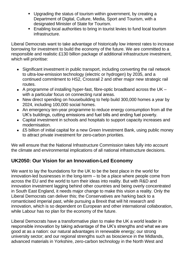- Upgrading the status of tourism within government, by creating a Department of Digital, Culture, Media, Sport and Tourism, with a designated Minister of State for Tourism.
- Enabling local authorities to bring in tourist levies to fund local tourism infrastructure.

Liberal Democrats want to take advantage of historically low interest rates to increase borrowing for investment to build the economy of the future. We are committed to a responsible and realistic £130 billion package of additional infrastructure investment, which will prioritise:

- Significant investment in public transport, including converting the rail network to ultra-low-emission technology (electric or hydrogen) by 2035, and a continued commitment to HS2, Crossrail 2 and other major new strategic rail routes.
- A programme of installing hyper-fast, fibre-optic broadband across the UK with a particular focus on connecting rural areas.
- New direct spending on housebuilding to help build 300,000 homes a year by 2024, including 100,000 social homes.
- An emergency ten-year programme to reduce energy consumption from all the UK's buildings, cutting emissions and fuel bills and ending fuel poverty.
- Capital investment in schools and hospitals to support capacity increases and modernisation.
- £5 billion of initial capital for a new Green Investment Bank, using public money to attract private investment for zero-carbon priorities.

We will ensure that the National Infrastructure Commission takes fully into account the climate and environmental implications of all national infrastructure decisions.

#### **UK2050: Our Vision for an Innovation-Led Economy**

We want to lay the foundations for the UK to be the best place in the world for innovation-led businesses in the long-term – to be a place where people come from across the EU and the world to turn their ideas into reality. But with R&D and innovation investment lagging behind other countries and being overly concentrated in South East England, it needs major change to make this vision a reality. Only the Liberal Democrats can deliver this; the Conservatives are harking back to a romanticised imperial past, while pursuing a Brexit that will hit research and innovation, which is so dependent on European and other international collaboration, while Labour has no plan for the economy of the future.

Liberal Democrats have a transformative plan to make the UK a world leader in responsible innovation by taking advantage of the UK's strengths and what we are good at as a nation: our natural advantages in renewable energy; our strong university sector; and our regional strengths such as bioscience in the Midlands, advanced materials in Yorkshire, zero-carbon technology in the North West and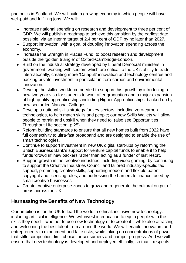photonics in Scotland. We will build a growing economy in which people will have well-paid and fulfilling jobs. We will:

- Increase national spending on research and development to three per cent of GDP. We will publish a roadmap to achieve this ambition by the earliest date possible, via an interim target of 2.4 per cent of GDP by no later than 2027.
- Support innovation, with a goal of doubling innovation spending across the economy.
- Increase the Strength in Places Fund, to boost research and development outside the 'golden triangle' of Oxford-Cambridge-London.
- Build on the industrial strategy developed by Liberal Democrat ministers in government, working with sectors which are critical to the UK's ability to trade internationally, creating more 'Catapult' innovation and technology centres and backing private investment in particular in zero-carbon and environmental innovation.
- Develop the skilled workforce needed to support this growth by introducing a new two-year visa for students to work after graduation and a major expansion of high-quality apprenticeships including Higher Apprenticeships, backed up by new sector-led National Colleges.
- Develop a national skills strategy for key sectors, including zero-carbon technologies, to help match skills and people; our new Skills Wallets will allow people to retrain and upskill when they need to. (also see Opportunities Throughout Life section, p.25)
- Reform building standards to ensure that all new homes built from 2022 have full connectivity to ultra-fast broadband and are designed to enable the use of smart technologies.
- Continue to support investment in new UK digital start-ups by reforming the British Business Bank's support for venture capital funds to enable it to help funds 'crowd in' new backers rather than acting as a funder of last resort.
- Support growth in the creative industries, including video gaming, by continuing to support the Creative Industries Council and tailored industry-specific tax support, promoting creative skills, supporting modern and flexible patent, copyright and licensing rules, and addressing the barriers to finance faced by small creative businesses.
- Create creative enterprise zones to grow and regenerate the cultural output of areas across the UK.

#### **Harnessing the Benefits of New Technology**

Our ambition is for the UK to lead the world in ethical, inclusive new technology, including artificial intelligence. We will invest in education to equip people with the skills they need – whether to use new technology or to create it – while also attracting and welcoming the best talent from around the world. We will enable innovators and entrepreneurs to experiment and take risks, while taking on concentrations of power that stifle competition, limit choice for consumers and hamper progress. And we will ensure that new technology is developed and deployed ethically, so that it respects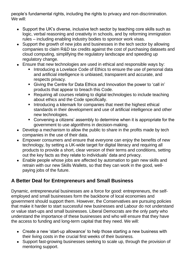people's fundamental rights, including the rights to privacy and non-discrimination. We will:

- Support the UK's diverse, inclusive tech sector by teaching core skills such as logic, verbal reasoning and creativity in schools, and by reforming immigration rules – including enabling industry bodies to sponsor work visas.
- Support the growth of new jobs and businesses in the tech sector by allowing companies to claim R&D tax credits against the cost of purchasing datasets and cloud computing, simplifying the regulatory landscape and speeding up regulatory change.
- Ensure that new technologies are used in ethical and responsible ways by:
	- Introducing a Lovelace Code of Ethics to ensure the use of personal data and artificial intelligence is unbiased, transparent and accurate, and respects privacy.
	- Giving the Centre for Data Ethics and Innovation the power to 'call in' products that appear to breach this Code.
	- Requiring all courses relating to digital technologies to include teaching about ethics and the Code specifically.
	- **EXTERN Introducing a kitemark for companies that meet the highest ethical** standards in their development and use of artificial intelligence and other new technologies.
	- Convening a citizens' assembly to determine when it is appropriate for the government to use algorithms in decision-making.
- Develop a mechanism to allow the public to share in the profits made by tech companies in the use of their data.
- Empower consumers and ensure that everyone can enjoy the benefits of new technology, by setting a UK-wide target for digital literacy and requiring all products to provide a short, clear version of their terms and conditions, setting out the key facts as they relate to individuals' data and privacy.
- Enable people whose jobs are affected by automation to gain new skills and retrain with our new Skills Wallets, so that they can work in the good, wellpaying jobs of the future.

# **A Better Deal for Entrepreneurs and Small Business**

Dynamic, entrepreneurial businesses are a force for good: entrepreneurs, the selfemployed and small businesses form the backbone of local economies and government should support them. However, the Conservatives are pursuing policies that make it harder to start successful new businesses and Labour do not understand or value start-ups and small businesses. Liberal Democrats are the only party who understand the importance of these businesses and who will ensure that they have the access to funding and long-term capital that they need. We will:

- Create a new 'start-up allowance' to help those starting a new business with their living costs in the crucial first weeks of their business.
- Support fast-growing businesses seeking to scale up, through the provision of mentoring support.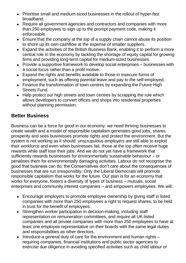- Prioritise small and medium-sized businesses in the rollout of hyper-fast broadband.
- Require all government agencies and contractors and companies with more than 250 employees to sign up to the prompt payment code, making it enforceable.
- Ensure that the company at the top of a supply chain cannot abuse its position to shore up its own cashflow at the expense of smaller suppliers.
- Expand the activities of the British Business Bank, enabling it to perform a more central role in the economy by tackling the shortage of equity capital for growing firms and providing long-term capital for medium-sized businesses.
- Provide a supportive framework to develop social enterprises businesses with a social focus rather than a profit motive.
- Expand the rights and benefits available to those in insecure forms of employment, such as offering parental leave and pay to the self-employed.
- Finance the transformation of town centres by expanding the Future High Streets Fund.
- Help protect our high streets and town centres by scrapping the rule which allows developers to convert offices and shops into residential properties without planning permission.

#### **Better Business**

Business can be a force for good in our economy: we need thriving businesses to create wealth and a model of responsible capitalism generates good jobs, shares prosperity and sees businesses promote rights and protect the environment. But the system is not working as it should: unscrupulous employers are still able to exploit their workforce and even when businesses fail, those at the top often receive huge rewards while staff lose their jobs. And we do not yet have a framework that sufficiently rewards businesses for environmentally sustainable behaviour – or penalises them for environmentally damaging activities. Labour do not recognise the good that business can do; the Conservatives don't care about the consequences of businesses that are run irresponsibly. Only the Liberal Democrats will promote responsible capitalism that works for the future. Our plan is for an economy that works for everyone, fosters a diversity of types of business – mutuals, social enterprises and community interest companies – and empowers employees. We will:

- Encourage employers to promote employee ownership by giving staff in listed companies with more than 250 employees a right to request shares, to be held in trust for the benefit of employees.
- Strengthen worker participation in decision-making, including staff representation on remuneration committees, and require all UK-listed companies and all private companies with more than 250 employees to have at least one employee representative on their boards with the same legal duties and responsibilities as other directors.
- Introduce a general duty of care for the environment and human rights requiring companies, financial institutions and public sector agencies to exercise due diligence in avoiding specified activities such as child labour or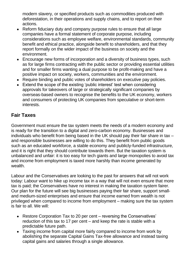modern slavery, or specified products such as commodities produced with deforestation, in their operations and supply chains, and to report on their actions.

- Reform fiduciary duty and company purpose rules to ensure that all large companies have a formal statement of corporate purpose, including considerations such as employee welfare, environmental standards, community benefit and ethical practice, alongside benefit to shareholders, and that they report formally on the wider impact of the business on society and the environment.
- Encourage new forms of incorporation and a diversity of business types, such as for large firms contracting with the public sector or providing essential utilities and for smaller firms wanting a dual purpose to be profit-making and have a positive impact on society, workers, communities and the environment.
- Require binding and public votes of shareholders on executive pay policies.
- Extend the scope of the existing 'public interest' test when considering approvals for takeovers of large or strategically significant companies by overseas-based owners to recognise the benefits to the UK economy, workers and consumers of protecting UK companies from speculative or short-term interests.

### **Fair Taxes**

Government must ensure the tax system meets the needs of a modern economy and is ready for the transition to a digital and zero-carbon economy. Businesses and individuals who benefit from being based in the UK should pay their fair share in tax – and responsible businesses are willing to do this. They benefit from public goods such as an educated workforce, a stable economy and publicly-funded infrastructure, and it is right that they should contribute towards them. But the taxation system is unbalanced and unfair: it is too easy for tech giants and large monopolies to avoid tax and income from employment is taxed more harshly than income generated by wealth.

Labour and the Conservatives are looking to the past for answers that will not work today: Labour want to hike up income tax in a way that will not even ensure that more tax is paid; the Conservatives have no interest in making the taxation system fairer. Our plan for the future will see big businesses paying their fair share, support smalland medium-sized enterprises and ensure that income earned from wealth is not privileged when compared to income from employment – making sure the tax system is fair to all. We will:

- Restore Corporation Tax to 20 per cent reversing the Conservatives' reduction of this tax to 17 per cent – and keep the rate is stable with a predictable future path.
- Taxing income from capital more fairly compared to income from work by abolishing the separate Capital Gains Tax-free allowance and instead taxing capital gains and salaries through a single allowance.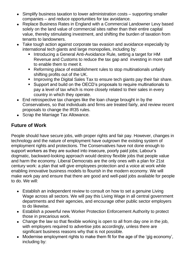- Simplify business taxation to lower administration costs supporting smaller companies – and reduce opportunities for tax avoidance.
- Replace Business Rates in England with a Commercial Landowner Levy based solely on the land value of commercial sites rather than their entire capital value, thereby stimulating investment, and shifting the burden of taxation from tenants to landowners.
- Take tough action against corporate tax evasion and avoidance especially by international tech giants and large monopolies, including by:
	- Introducing a General Anti-Avoidance Rule, setting a target for HM Revenue and Customs to reduce the tax gap and investing in more staff to enable them to meet it.
	- Reforming place of establishment rules to stop multinationals unfairly shifting profits out of the UK.
	- Improving the Digital Sales Tax to ensure tech giants pay their fair share.
	- Support and build on the OECD's proposals to require multinationals to pay a level of tax which is more closely related to their sales in every country in which they operate.
- End retrospective tax changes like the loan charge brought in by the Conservatives, so that individuals and firms are treated fairly, and review recent proposals to change the IR35 rules.
- Scrap the Marriage Tax Allowance.

### **Future of Work**

People should have secure jobs, with proper rights and fair pay. However, changes in technology and the nature of employment have outgrown the existing system of employment rights and protections. The Conservatives have not done enough to support workers as they are sucked into insecure, poorly paid jobs; Labour's dogmatic, backward-looking approach would destroy flexible jobs that people value and harm the economy. Liberal Democrats are the only ones with a plan for 21st century work: a plan that will give employees protection and a voice at work while enabling innovative business models to flourish in the modern economy. We will make work pay and ensure that there are good and well-paid jobs available for people to do. We will:

- Establish an independent review to consult on how to set a genuine Living Wage across all sectors. We will pay this Living Wage in all central government departments and their agencies, and encourage other public sector employers to do likewise.
- Establish a powerful new Worker Protection Enforcement Authority to protect those in precarious work.
- Change the law so that flexible working is open to all from day one in the job, with employers required to advertise jobs accordingly, unless there are significant business reasons why that is not possible.
- Modernise employment rights to make them fit for the age of the 'gig economy', including by: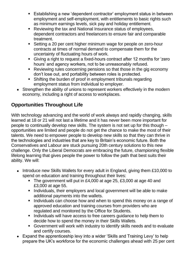- Establishing a new 'dependent contractor' employment status in between employment and self-employment, with entitlements to basic rights such as minimum earnings levels, sick pay and holiday entitlement.
- Reviewing the tax and National Insurance status of employees, dependent contractors and freelancers to ensure fair and comparable treatment.
- Setting a 20 per cent higher minimum wage for people on zero-hour contracts at times of normal demand to compensate them for the uncertainty of fluctuating hours of work.
- Giving a right to request a fixed-hours contract after 12 months for 'zero hours' and agency workers, not to be unreasonably refused.
- Reviewing rules concerning pensions so that those in the gig economy don't lose out, and portability between roles is protected.
- Shifting the burden of proof in employment tribunals regarding employment status from individual to employer.
- Strengthen the ability of unions to represent workers effectively in the modern economy, including a right of access to workplaces.

# **Opportunities Throughout Life**

With technology advancing and the world of work always and rapidly changing, skills learned at 18 or 21 will not last a lifetime and it has never been more important for people to continually develop new skills. The system is not set up for this though – opportunities are limited and people do not get the chance to make the most of their talents. We need to empower people to develop new skills so that they can thrive in the technologies and industries that are key to Britain's economic future. Both the Conservatives and Labour are stuck pursuing 20th century solutions to this new challenge. Only the Liberal Democrats are embracing the future, championing flexible lifelong learning that gives people the power to follow the path that best suits their ability. We will:

- Introduce new Skills Wallets for every adult in England, giving them £10,000 to spend on education and training throughout their lives:
	- The government will put in £4,000 at age 25, £3,000 at age 40 and £3,000 at age 55.
	- Individuals, their employers and local government will be able to make additional payments into the wallets.
	- Individuals can choose how and when to spend this money on a range of approved education and training courses from providers who are regulated and monitored by the Office for Students.
	- Individuals will have access to free careers guidance to help them to decide how to spend the money in their Skills Wallets.
	- Government will work with industry to identify skills needs and to evaluate and certify courses.
- Expand the apprenticeship levy into a wider 'Skills and Training Levy' to help prepare the UK's workforce for the economic challenges ahead with 25 per cent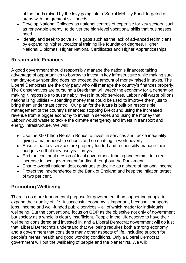of the funds raised by the levy going into a 'Social Mobility Fund' targeted at areas with the greatest skill needs.

- Develop National Colleges as national centres of expertise for key sectors, such as renewable energy, to deliver the high-level vocational skills that businesses need.
- Identify and seek to solve skills gaps such as the lack of advanced technicians by expanding higher vocational training like foundation degrees, Higher National Diplomas, Higher National Certificates and Higher Apprenticeships.

#### **Responsible Finances**

A good government should responsibly manage the nation's finances: taking advantage of opportunities to borrow to invest in key infrastructure while making sure that day-to-day spending does not exceed the amount of money raised in taxes. The Liberal Democrats are the only party who will manage the country's finances properly. The Conservatives are pursuing a Brexit that will wreck the economy for a generation, making it impossible to sustainably invest in public services. Labour will waste billions nationalising utilities – spending money that could be used to improve them just to bring them under state control. Our plan for the future is built on responsible management of the country's finances: stopping Brexit and using the increased revenue from a bigger economy to invest in services and using the money that Labour would waste to tackle the climate emergency and invest in transport and energy infrastructure. We will:

- Use the £50 billion Remain Bonus to invest in services and tackle inequality, giving a major boost to schools and combatting in-work poverty.
- Ensure that key services are properly funded and responsibly manage their budgets so that they rise year-on-year.
- End the continual erosion of local government funding and commit to a real increase in local government funding throughout the Parliament.
- Ensure overall national debt continues to decline as a share of national income.
- Protect the independence of the Bank of England and keep the inflation target of two per cent.

# **Promoting Wellbeing**

There is no more fundamental purpose for government than supporting people to expand their quality of life. A successful economy is important, because it supports jobs, income and well-funded public services – all of which matter for individuals' wellbeing. But the conventional focus on GDP as the objective not only of government but society as a whole is clearly insufficient. People in the UK deserve to have their wellbeing considered and invested in, and a Liberal Democrat government will do just that. Liberal Democrats understand that wellbeing requires both a strong economy and a government that considers many other aspects of life, including support for people's mental health and good working conditions. Only a Liberal Democrat government will put the wellbeing of people and the planet first. We will: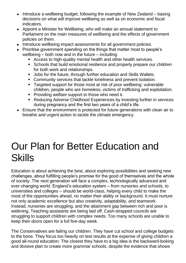- Introduce a wellbeing budget, following the example of New Zealand basing decisions on what will improve wellbeing as well as on economic and fiscal indicators.
- Appoint a Minister for Wellbeing, who will make an annual statement to Parliament on the main measures of wellbeing and the effects of government policies on them.
- Introduce wellbeing impact assessments for all government policies.
- Prioritise government spending on the things that matter most to people's wellbeing – both now and in the future – including:
	- Access to high-quality mental health and other health services.
	- Schools that build emotional resilience and properly prepare our children for both work and relationships.
	- Jobs for the future, through further education and Skills Wallets.
	- Community services that tackle loneliness and prevent isolation.
	- Targeted support for those most at risk of poor wellbeing: vulnerable children, people who are homeless, victims of trafficking and exploitation.
	- **Providing welfare support to those who need it.**
	- Reducing Adverse Childhood Experiences by investing further in services during pregnancy and the first two years of a child's life.
- Ensure that the environment is protected for future generations with clean air to breathe and urgent action to tackle the climate emergency.

# Our Plan for Better Education and **Skills**

Education is about achieving the best, about exploring possibilities and seeking new challenges, about fulfilling people's promise for the good of themselves and the whole of society. The next generation will face a complex, technologically advanced and ever-changing world. England's education system – from nurseries and schools, to universities and colleges – should be world-class, helping every child to make the most of the opportunities ahead, no matter their ability or background. It must nurture not only academic excellence but also creativity, adaptability, and teamwork. Instead, nurseries are struggling, and the attainment gap between rich and poor is widening. Teaching assistants are being laid off. Cash-strapped councils are struggling to support children with complex needs. Too many schools are unable to keep their doors open for a full five-day week.

The Conservatives are failing our children. They have cut school and college budgets to the bone. They focus too heavily on test results at the expense of giving children a good all-round education. The closest they have to a big idea is the backward-looking and divisive plan to create more grammar schools, despite the evidence that shows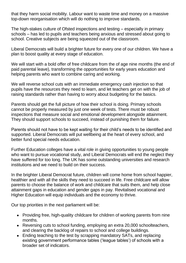that they harm social mobility. Labour want to waste time and money on a massive top-down reorganisation which will do nothing to improve standards.

The high-stakes culture of Ofsted inspections and testing – especially in primary schools – has led to pupils and teachers being anxious and stressed about going to school. Creative subjects are being squeezed out of the classroom.

Liberal Democrats will build a brighter future for every one of our children. We have a plan to boost quality at every stage of education.

We will start with a bold offer of free childcare from the of age nine months (the end of paid parental leave), transforming the opportunities for early years education and helping parents who want to combine caring and working.

We will reverse school cuts with an immediate emergency cash injection so that pupils have the resources they need to learn, and let teachers get on with the job of raising standards rather than having to worry about budgeting for the basics.

Parents should get the full picture of how their school is doing. Primary schools cannot be properly measured by just one week of tests. There must be robust inspections that measure social and emotional development alongside attainment. They should support schools to succeed, instead of punishing them for failure.

Parents should not have to be kept waiting for their child's needs to be identified and supported. Liberal Democrats will put wellbeing at the heart of every school, and better fund special needs education.

Further Education colleges have a vital role in giving opportunities to young people who want to pursue vocational study, and Liberal Democrats will end the neglect they have suffered for too long. The UK has some outstanding universities and research institutions and we need to build on their success.

In the brighter Liberal Democrat future, children will come home from school happier, healthier and with all the skills they need to succeed in life. Free childcare will allow parents to choose the balance of work and childcare that suits them, and help close attainment gaps in education and gender gaps in pay. Revitalised vocational and Higher Education will equip individuals and the economy to thrive.

Our top priorities in the next parliament will be:

- Providing free, high-quality childcare for children of working parents from nine months.
- Reversing cuts to school funding, employing an extra 20,000 schoolteachers, and clearing the backlog of repairs to school and college buildings.
- Ending teaching to the test by scrapping mandatory SATs, and replacing existing government performance tables ('league tables') of schools with a broader set of indicators.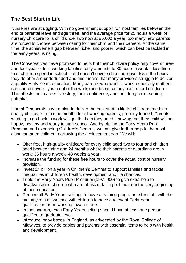#### **The Best Start in Life**

Nurseries are struggling. With no government support for most families between the end of parental leave and age three, and the average price for 25 hours a week of nursery childcare for a child under two now at £6,600 a year, too many new parents are forced to choose between caring for their child and their careers. At the same time, the achievement gap between richer and poorer, which can best be tackled in the early years, is rising.

The Conservatives have promised to help, but their childcare policy only covers threeand four-year-olds in working families, only amounts to 30 hours a week – less time than children spend in school – and doesn't cover school holidays. Even the hours they do offer are underfunded and this means that many providers struggle to deliver a quality Early Years education. Many parents who want to work, especially mothers, can spend several years out of the workplace because they can't afford childcare. This affects their career trajectory, their confidence, and their long-term earning potential.

Liberal Democrats have a plan to deliver the best start in life for children: free highquality childcare from nine months for all working parents, properly funded. Parents wanting to go back to work will get the help they need, knowing that their child will be happy, healthy and ready to start school. And by tripling the Early Years Pupil Premium and expanding Children's Centres, we can give further help to the most disadvantaged children, narrowing the achievement gap. We will:

- Offer free, high-quality childcare for every child aged two to four and children aged between nine and 24 months where their parents or guardians are in work: 35 hours a week, 48 weeks a year.
- Increase the funding for these free hours to cover the actual cost of nursery provision.
- Invest £1 billion a year in Children's Centres to support families and tackle inequalities in children's health, development and life chances.
- Triple the Early Years Pupil Premium (to £1,000) to give extra help to disadvantaged children who are at risk of falling behind from the very beginning of their education.
- Require all Early Years settings to have a training programme for staff, with the majority of staff working with children to have a relevant Early Years qualification or be working towards one.
- In the long run, each Early Years setting should have at least one person qualified to graduate level.
- Introduce 'baby boxes' in England, as advocated by the Royal College of Midwives, to provide babies and parents with essential items to help with health and development.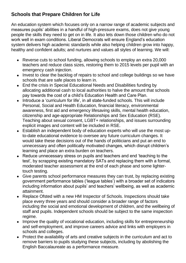### **Schools that Prepare Children for Life**

An education system which focuses only on a narrow range of academic subjects and measures pupils' abilities in a handful of high-pressure exams, does not give young people the skills they need to get on in life. It also lets down those children who do not work well in exam conditions. Liberal Democrats will ensure England's education system delivers high academic standards while also helping children grow into happy, healthy and confident adults; and nurtures and values all styles of learning. We will:

- Reverse cuts to school funding, allowing schools to employ an extra 20,000 teachers and reduce class sizes, restoring them to 2015 levels per pupil with an emergency cash injection.
- Invest to clear the backlog of repairs to school and college buildings so we have schools that are safe places to learn in.
- End the crisis in Special Educational Needs and Disabilities funding by allocating additional cash to local authorities to halve the amount that schools pay towards the cost of a child's Education Health and Care Plan.
- Introduce a 'curriculum for life', in all state-funded schools. This will include Personal, Social and Health Education, financial literacy, environmental awareness, first aid and emergency lifesaving skills, mental health education, citizenship and age-appropriate Relationships and Sex Education (RSE). Teaching about sexual consent, LGBT+ relationships, and issues surrounding explicit images and content will be included in RSE.
- Establish an independent body of education experts who will use the most upto-date educational evidence to oversee any future curriculum changes. It would take these decisions out of the hands of politicians and put an end to unnecessary and often politically motivated changes, which disrupt children's learning and place an extra burden on teachers.
- Reduce unnecessary stress on pupils and teachers and end 'teaching to the test', by scrapping existing mandatory SATs and replacing them with a formal, moderated teacher assessment at the end of each phase and some lightertouch testing.
- Give parents school performance measures they can trust, by replacing existing government performance tables ('league tables') with a broader set of indicators including information about pupils' and teachers' wellbeing, as well as academic attainment.
- Replace Ofsted with a new HM Inspector of Schools. Inspections should take place every three years and should consider a broader range of factors including the social and emotional development of children, and the wellbeing of staff and pupils. Independent schools should be subject to the same inspection regime.
- Improve the quality of vocational education, including skills for entrepreneurship and self-employment, and improve careers advice and links with employers in schools and colleges.
- Protect the availability of arts and creative subjects in the curriculum and act to remove barriers to pupils studying these subjects, including by abolishing the English Baccalaureate as a performance measure.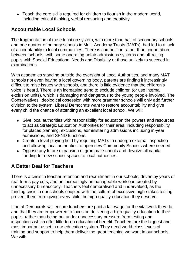• Teach the core skills required for children to flourish in the modern world, including critical thinking, verbal reasoning and creativity.

#### **Accountable Local Schools**

The fragmentation of the education system, with more than half of secondary schools and one quarter of primary schools in Multi-Academy Trusts (MATs), had led to a lack of accountability to local communities. There is competition rather than cooperation between schools, with some operating unfair admissions systems and off-rolling pupils with Special Educational Needs and Disability or those unlikely to succeed in examinations.

With academies standing outside the oversight of Local Authorities, and many MAT schools not even having a local governing body, parents are finding it increasingly difficult to raise issues with schools, and there is little evidence that the children's voice is heard. There is an increasing trend to exclude children (or use internal exclusion units), which is damaging and dangerous to the young people involved. The Conservatives' ideological obsession with more grammar schools will only add further division to the system. Liberal Democrats want to restore accountability and give every child the chance of attending an excellent local school. We will:

- Give local authorities with responsibility for education the powers and resources to act as Strategic Education Authorities for their area, including responsibility for places planning, exclusions, administering admissions including in-year admissions, and SEND functions.
- Create a level playing field by requiring MATs to undergo external inspection and allowing local authorities to open new Community Schools where needed.
- Oppose any future expansion of grammar schools and devolve all capital funding for new school spaces to local authorities.

# **A Better Deal for Teachers**

There is a crisis in teacher retention and recruitment in our schools, driven by years of real-terms pay cuts, and an increasingly unmanageable workload created by unnecessary bureaucracy. Teachers feel demoralised and undervalued, as the funding crisis in our schools coupled with the culture of excessive high-stakes testing prevent them from giving every child the high-quality education they deserve.

Liberal Democrats will ensure teachers are paid a fair wage for the vital work they do, and that they are empowered to focus on delivering a high-quality education to their pupils, rather than being put under unnecessary pressure from testing and inspections which offer little-to-no educational benefit. Teachers are the biggest and most important asset in our education system. They need world-class levels of training and support to help them deliver the great teaching we want in our schools. We will: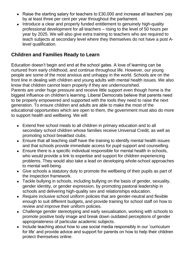- Raise the starting salary for teachers to £30,000 and increase all teachers' pay by at least three per cent per year throughout the parliament.
- Introduce a clear and properly funded entitlement to genuinely high-quality professional development for all teachers – rising to the level of 50 hours per year by 2025. We will also give extra training to teachers who are required to teach subjects at secondary level where they themselves do not have a post Alevel qualification.

#### **Children and Families Ready to Learn**

Education doesn't begin and end at the school gates. A love of learning can be nurtured from early childhood, and continue throughout life. However, our young people are some of the most anxious and unhappy in the world. Schools are on the front line in dealing with children and young adults with mental health issues. We also know that children cannot learn properly if they are undernourished. Parents are under huge pressure and receive little support even though home is the biggest influence on children's learning. Liberal Democrats believe that parents need to be properly empowered and supported with the tools they need to raise the next generation. To ensure children and adults are able to make the most of the educational opportunities which are open to them, the government must also do more to support health and wellbeing. We will:

- Extend free school meals to all children in primary education and to all secondary school children whose families receive Universal Credit, as well as promoting school breakfast clubs.
- Ensure that all teaching staff have the training to identify mental health issues and that schools provide immediate access for pupil support and counselling.
- Ensure there is a specific individual responsible for mental health in schools, who would provide a link to expertise and support for children experiencing problems. They would also take a lead on developing whole-school approaches to mental well-being.
- Give schools a statutory duty to promote the wellbeing of their pupils as part of the inspection framework.
- Tackle bullying in schools, including bullying on the basis of gender, sexuality, gender identity, or gender expression, by promoting pastoral leadership in schools and delivering high-quality sex and relationships education.
- Require inclusive school uniform policies that are gender-neutral and flexible enough to suit different budgets, and provide training for school staff on how to review and improve their uniform policies.
- Challenge gender stereotyping and early sexualisation, working with schools to promote positive body image and break down outdated perceptions of gender appropriateness of particular academic subjects.
- Include teaching about how to use social media responsibly in our 'curriculum for life' and provide advice and support for parents on how to help their children protect themselves online.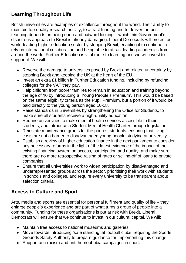# **Learning Throughout Life**

British universities are examples of excellence throughout the world. Their ability to maintain top-quality research activity, to attract funding and to deliver the best teaching depends on being open and outward looking – which this Government's disastrous approach to Brexit is already damaging. Liberal Democrats will protect our world-leading higher education sector by stopping Brexit, enabling it to continue to rely on international collaboration and being able to attract leading academics from around the world. Further Education is vital route to learning and we will invest to support it. We will:

- Reverse the damage to universities posed by Brexit and related uncertainty by stopping Brexit and keeping the UK at the heart of the EU.
- Invest an extra £1 billion in Further Education funding, including by refunding colleges for the VAT they pay.
- Help children from poorer families to remain in education and training beyond the age of 16 by introducing a 'Young People's Premium'. This would be based on the same eligibility criteria as the Pupil Premium, but a portion of it would be paid directly to the young person aged 16-18.
- Raise standards in universities by strengthening the Office for Students, to make sure all students receive a high-quality education.
- Require universities to make mental health services accessible to their students, and introduce a Student Mental Health Charter through legislation.
- Reinstate maintenance grants for the poorest students, ensuring that living costs are not a barrier to disadvantaged young people studying at university.
- Establish a review of higher education finance in the next parliament to consider any necessary reforms in the light of the latest evidence of the impact of the existing financing system on access, participation and quality, and make sure there are no more retrospective raising of rates or selling-off of loans to private companies.
- Ensure that all universities work to widen participation by disadvantaged and underrepresented groups across the sector, prioritising their work with students in schools and colleges, and require every university to be transparent about selection criteria.

#### **Access to Culture and Sport**

Arts, media and sports are essential for personal fulfilment and quality of life – they enlarge people's experience and are part of what turns a group of people into a community. Funding for these organisations is put at risk with Brexit. Liberal Democrats will ensure that we continue to invest in our cultural capital. We will:

- Maintain free access to national museums and galleries.
- Move towards introducing 'safe standing' at football clubs, requiring the Sports Grounds Safety Authority to prepare guidance for implementing this change.
- Support anti-racism and anti-homophobia campaigns in sport.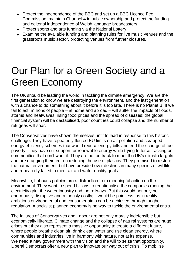- Protect the independence of the BBC and set up a BBC Licence Fee Commission, maintain Channel 4 in public ownership and protect the funding and editorial independence of Welsh language broadcasters.
- Protect sports and arts funding via the National Lottery.
- Examine the available funding and planning rules for live music venues and the grassroots music sector, protecting venues from further closures.

# Our Plan for a Green Society and a Green Economy

The UK should be leading the world in tackling the climate emergency. We are the first generation to know we are destroying the environment, and the last generation with a chance to do something about it before it is too late. There is no Planet B. If we fail to act, millions of people – at home and abroad – will suffer the impacts of floods, storms and heatwaves, rising food prices and the spread of diseases; the global financial system will be destabilised, poor countries could collapse and the number of refugees will soar.

The Conservatives have shown themselves unfit to lead in response to this historic challenge. They have repeatedly flouted EU limits on air pollution and scrapped energy efficiency schemes that would reduce energy bills and end the scourge of fuel poverty. They have cut support for renewable energy while trying to force fracking on communities that don't want it. They are not on track to meet the UK's climate targets and are dragging their feet on reducing the use of plastics. They promised to restore the natural environment, but have presided over declines in many species of wildlife, and repeatedly failed to meet air and water quality goals.

Meanwhile, Labour's policies are a distraction from meaningful action on the environment. They want to spend billions to renationalise the companies running the electricity grid, the water industry and the railways. But this would not only be enormously disruptive and ruinously costly; it would be pointless, as in reality, ambitious environmental and consumer aims can be achieved through tougher regulation. A socialist planned economy is no way to tackle the environmental crisis.

The failures of Conservatives and Labour are not only morally indefensible but economically illiterate. Climate change and the collapse of natural systems are huge crises but they also represent a massive opportunity to create a different future, where people breathe clean air, drink clean water and use clean energy, where communities and industries live in harmony with nature, not at its expense. We need a new government with the vision and the will to seize that opportunity. Liberal Democrats offer a new plan to innovate our way out of crisis. To mobilise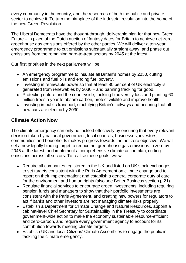every community in the country, and the resources of both the public and private sector to achieve it. To turn the birthplace of the industrial revolution into the home of the new Green Revolution.

The Liberal Democrats have the thought-through, deliverable plan for that new Green Future – in place of the Dutch auction of fantasy dates for Britain to achieve net zero greenhouse gas emissions offered by the other parties. We will deliver a ten-year emergency programme to cut emissions substantially straight away, and phase out emissions from the remaining hard-to-treat sectors by 2045 at the latest.

Our first priorities in the next parliament will be:

- An emergency programme to insulate all Britain's homes by 2030, cutting emissions and fuel bills and ending fuel poverty.
- Investing in renewable power so that at least 80 per cent of UK electricity is generated from renewables by 2030 – and banning fracking for good.
- Protecting nature and the countryside, tackling biodiversity loss and planting 60 million trees a year to absorb carbon, protect wildlife and improve health.
- Investing in public transport, electrifying Britain's railways and ensuring that all new cars are electric by 2030.

# **Climate Action Now**

The climate emergency can only be tackled effectively by ensuring that every relevant decision taken by national government, local councils, businesses, investors, communities and households makes progress towards the net zero objective. We will set a new legally binding target to reduce net greenhouse gas emissions to zero by 2045 at the latest, and implement a comprehensive climate action plan, cutting emissions across all sectors. To realise these goals, we will:

- Require all companies registered in the UK and listed on UK stock exchanges to set targets consistent with the Paris Agreement on climate change and to report on their implementation; and establish a general corporate duty of care for the environment and human rights (also see Better Business section p.21).
- Regulate financial services to encourage green investments, including requiring pension funds and managers to show that their portfolio investments are consistent with the Paris Agreement, and creating new powers for regulators to act if banks and other investors are not managing climate risks properly.
- Establish a Department for Climate Change and Natural Resources, appoint a cabinet-level Chief Secretary for Sustainability in the Treasury to coordinate government-wide action to make the economy sustainable resource-efficient and zero-carbon, and require every government agency to account for its contribution towards meeting climate targets.
- Establish UK and local Citizens' Climate Assemblies to engage the public in tackling the climate emergency.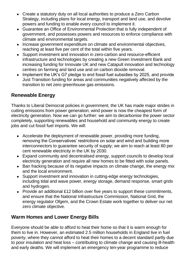- Create a statutory duty on all local authorities to produce a Zero Carbon Strategy, including plans for local energy, transport and land use, and devolve powers and funding to enable every council to implement it.
- Guarantee an Office of Environmental Protection that is fully independent of government, and possesses powers and resources to enforce compliance with climate and environmental targets.
- Increase government expenditure on climate and environmental objectives, reaching at least five per cent of the total within five years.
- Support investment and innovation in zero-carbon and resource-efficient infrastructure and technologies by creating a new Green Investment Bank and increasing funding for Innovate UK and new Catapult innovation and technology centres on farming and land use and on carbon dioxide removal.
- Implement the UK's G7 pledge to end fossil fuel subsidies by 2025, and provide Just Transition funding for areas and communities negatively affected by the transition to net zero greenhouse gas emissions.

#### **Renewable Energy**

Thanks to Liberal Democrat policies in government, the UK has made major strides in cutting emissions from power generation; wind power is now the cheapest form of electricity generation. Now we can go further: we aim to decarbonise the power sector completely, supporting renewables and household and community energy to create jobs and cut fossil fuel imports. We will:

- Accelerate the deployment of renewable power, providing more funding, removing the Conservatives' restrictions on solar and wind and building more interconnectors to guarantee security of supply; we aim to reach at least 80 per cent renewable electricity in the UK by 2030.
- Expand community and decentralised energy, support councils to develop local electricity generation and require all new homes to be fitted with solar panels.
- Ban fracking because of its negative impacts on climate change, the energy mix and the local environment.
- Support investment and innovation in cutting-edge energy technologies, including tidal and wave power, energy storage, demand response, smart grids and hydrogen.
- Provide an additional £12 billion over five years to support these commitments, and ensure that the National Infrastructure Commission, National Grid, the energy regulator Ofgem, and the Crown Estate work together to deliver our net zero climate objective.

#### **Warm Homes and Lower Energy Bills**

Everyone should be able to afford to heat their home so that it is warm enough for them to live in. However, an estimated 2.5 million households in England live in fuel poverty, where they cannot afford to heat their homes to a decent standard partly due to poor insulation and heat loss – contributing to climate change and causing ill-health and early deaths. We will implement an emergency ten-year programme to reduce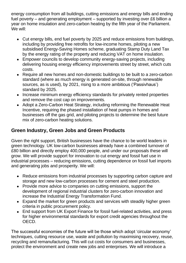energy consumption from all buildings, cutting emissions and energy bills and ending fuel poverty – and generating employment – supported by investing over £6 billion a year on home insulation and zero-carbon heating by the fifth year of the Parliament. We will:

- Cut energy bills, end fuel poverty by 2025 and reduce emissions from buildings, including by providing free retrofits for low-income homes, piloting a new subsidised Energy-Saving Homes scheme, graduating Stamp Duty Land Tax by the energy rating of the property and reducing VAT on home insulation.
- Empower councils to develop community energy-saving projects, including delivering housing energy efficiency improvements street by street, which cuts costs.
- Require all new homes and non-domestic buildings to be built to a zero-carbon standard (where as much energy is generated on-site, through renewable sources, as is used), by 2021, rising to a more ambitious ('Passivhaus') standard by 2025.
- Increase minimum energy efficiency standards for privately rented properties and remove the cost cap on improvements.
- Adopt a Zero-Carbon Heat Strategy, including reforming the Renewable Heat Incentive, requiring the phased installation of heat pumps in homes and businesses off the gas grid, and piloting projects to determine the best future mix of zero-carbon heating solutions.

# **Green Industry, Green Jobs and Green Products**

Given the right support, British businesses have the chance to be world leaders in green technology. UK low-carbon businesses already have a combined turnover of £80 billion and directly employ 400,000 people, and under our proposals these will grow. We will provide support for innovation to cut energy and fossil fuel use in industrial processes – reducing emissions, cutting dependence on fossil fuel imports and generating jobs and prosperity. We will:

- Reduce emissions from industrial processes by supporting carbon capture and storage and new low-carbon processes for cement and steel production.
- Provide more advice to companies on cutting emissions, support the development of regional industrial clusters for zero-carbon innovation and increase the Industrial Energy Transformation Fund.
- Expand the market for green products and services with steadily higher green criteria in public procurement policy.
- End support from UK Export Finance for fossil fuel-related activities, and press for higher environmental standards for export credit agencies throughout the OECD.

The successful economies of the future will be those which adopt 'circular economy' techniques, cutting resource use, waste and pollution by maximising recovery, reuse, recycling and remanufacturing. This will cut costs for consumers and businesses, protect the environment and create new jobs and enterprises. We will introduce a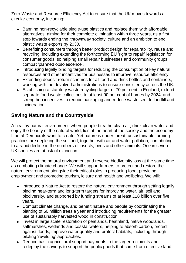Zero-Waste and Resource Efficiency Act to ensure that the UK moves towards a circular economy, including:

- Banning non-recyclable single-use plastics and replace them with affordable alternatives, aiming for their complete elimination within three years, as a first step towards ending the 'throwaway society' culture and an ambition to end plastic waste exports by 2030.
- Benefitting consumers through better product design for repairability, reuse and recycling, including extending the forthcoming EU 'right to repair' legislation for consumer goods, so helping small repair businesses and community groups combat 'planned obsolescence'.
- Introducing legally binding targets for reducing the consumption of key natural resources and other incentives for businesses to improve resource efficiency.
- Extending deposit return schemes for all food and drink bottles and containers, working with the devolved administrations to ensure consistency across the UK.
- Establishing a statutory waste recycling target of 70 per cent in England, extend separate food waste collections to at least 90 per cent of homes by 2024, and strengthen incentives to reduce packaging and reduce waste sent to landfill and incineration.

### **Saving Nature and the Countryside**

A healthy natural environment, where people breathe clean air, drink clean water and enjoy the beauty of the natural world, lies at the heart of the society and the economy Liberal Democrats want to create. Yet nature is under threat: unsustainable farming practices are depleting the soil and, together with air and water pollution, contributing to a rapid decline in the numbers of insects, birds and other animals. One in seven UK species are at risk of extinction.

We will protect the natural environment and reverse biodiversity loss at the same time as combating climate change. We will support farmers to protect and restore the natural environment alongside their critical roles in producing food, providing employment and promoting tourism, leisure and health and wellbeing. We will:

- Introduce a Nature Act to restore the natural environment through setting legally binding near-term and long-term targets for improving water, air, soil and biodiversity, and supported by funding streams of at least £18 billion over five years.
- Combat climate change, and benefit nature and people by coordinating the planting of 60 million trees a year and introducing requirements for the greater use of sustainably harvested wood in construction.
- Invest in large scale restoration of peatlands, heathland, native woodlands, saltmarshes, wetlands and coastal waters, helping to absorb carbon, protect against floods, improve water quality and protect habitats, including through piloting 'rewilding' approaches.
- Reduce basic agricultural support payments to the larger recipients and redeploy the savings to support the public goods that come from effective land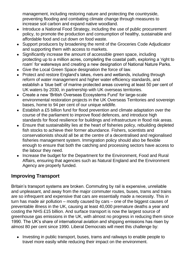management, including restoring nature and protecting the countryside, preventing flooding and combating climate change through measures to increase soil carbon and expand native woodland.

- Introduce a National Food Strategy, including the use of public procurement policy, to promote the production and consumption of healthy, sustainable and affordable food and cut down on food waste.
- Support producers by broadening the remit of the Groceries Code Adjudicator and supporting them with access to markets.
- Significantly increase the amount of accessible green space, including protecting up to a million acres, completing the coastal path, exploring a 'right to roam' for waterways and creating a new designation of National Nature Parks.
- Give the Local Green Space designation the force of law.
- Protect and restore England's lakes, rivers and wetlands, including through reform of water management and higher water efficiency standards, and establish a 'blue belt' of marine protected areas covering at least 50 per cent of UK waters by 2030, in partnership with UK overseas territories.
- Create a new 'British Overseas Ecosystems Fund' for large-scale environmental restoration projects in the UK Overseas Territories and sovereign bases, home to 94 per cent of our unique wildlife.
- Establish a £5 billion fund for flood prevention and climate adaptation over the course of the parliament to improve flood defences, and introduce high standards for flood resilience for buildings and infrastructure in flood risk areas.
- Ensure that sustainability lies at the heart of fisheries policy, rebuilding depleted fish stocks to achieve their former abundance. Fishers, scientists and conservationists should all be at the centre of a decentralised and regionalised fisheries management system. Immigration policy should also be flexible enough to ensure that both the catching and processing sectors have access to the labour they need.
- Increase the budget for the Department for the Environment. Food and Rural Affairs, ensuring that agencies such as Natural England and the Environment Agency are properly funded.

# **Improving Transport**

Britain's transport systems are broken. Commuting by rail is expensive, unreliable and unpleasant, and away from the major commuter routes, buses, trams and trains are so infrequent and expensive that cars are essentially made a necessity. This in turn has made air pollution – mostly caused by cars – one of the biggest causes of preventable illness in the UK, causing at least 40,000 premature deaths a year and costing the NHS £15 billion. And surface transport is now the largest source of greenhouse gas emissions in the UK, with almost no progress in reducing them since 1990. The UK's share of international aviation and shipping emissions has risen by almost 80 per cent since 1990. Liberal Democrats will meet this challenge by:

• Investing in public transport, buses, trams and railways to enable people to travel more easily while reducing their impact on the environment.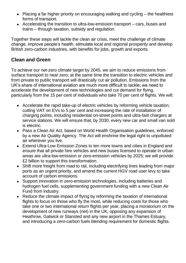- Placing a far higher priority on encouraging walking and cycling the healthiest forms of transport.
- Accelerating the transition to ultra-low-emission transport cars, buses and trains – through taxation, subsidy and regulation.

Together these steps will tackle the clean air crisis, meet the challenge of climate change, improve people's health, stimulate local and regional prosperity and develop British zero-carbon industries, with benefits for jobs, growth and exports.

#### **Clean and Green**

To achieve our net-zero climate target by 2045, we aim to reduce emissions from surface transport to near zero; at the same time the transition to electric vehicles and from private to public transport will drastically cut air pollution. Emissions from the UK's share of international aviation are much more difficult to tackle; we need to accelerate the development of new technologies and cut demand for flying, particularly from the 15 per cent of individuals who take 70 per cent of flights. We will:

- Accelerate the rapid take-up of electric vehicles by reforming vehicle taxation, cutting VAT on EVs to 5 per cent and increasing the rate of installation of charging points, including residential on-street points and ultra-fast chargers at service stations. We will ensure that, by 2030, every new car and small van sold is electric.
- Pass a Clean Air Act, based on World Health Organisation guidelines, enforced by a new Air Quality Agency. The Act will enshrine the legal right to unpolluted air wherever you live.
- Extend Ultra-Low Emission Zones to ten more towns and cities in England and ensure that all private hire vehicles and new buses licensed to operate in urban areas are ultra-low-emission or zero-emission vehicles by 2025; we will provide £2 billion to support this transformation.
- Shift more freight from road to rail, including electrifying lines leading from major ports as an urgent priority, and amend the current HGV road user levy to take account of carbon emissions.
- Support innovation in zero-emission technologies, including batteries and hydrogen fuel cells, supplementing government funding with a new Clean Air Fund from industry.
- Reduce the climate impact of flying by reforming the taxation of international flights to focus on those who fly the most, while reducing costs for those who take one or two international return flights per year, placing a moratorium on the development of new runways (net) in the UK, opposing any expansion of Heathrow, Gatwick or Stansted and any new airport in the Thames Estuary, and introducing a zero-carbon fuels blending requirement for domestic flights.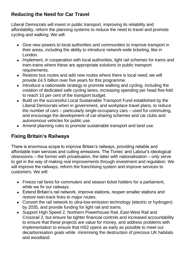### **Reducing the Need for Car Travel**

Liberal Democrats will invest in public transport, improving its reliability and affordability, reform the planning systems to reduce the need to travel and promote cycling and walking. We will:

- Give new powers to local authorities and communities to improve transport in their areas, including the ability to introduce network-wide ticketing, like in London.
- Implement, in cooperation with local authorities, light rail schemes for trams and tram-trains where these are appropriate solutions to public transport requirements.
- Restore bus routes and add new routes where there is local need; we will provide £4.5 billion over five years for this programme.
- Introduce a nationwide strategy to promote walking and cycling, including the creation of dedicated safe cycling lanes, increasing spending per head five-fold to reach 10 per cent of the transport budget.
- Build on the successful Local Sustainable Transport Fund established by the Liberal Democrats when in government, and workplace travel plans, to reduce the number of cars – particularly single-occupancy cars – used for commuting, and encourage the development of car-sharing schemes and car clubs and autonomous vehicles for public use.
- Amend planning rules to promote sustainable transport and land use.

# **Fixing Britain's Railways**

There is enormous scope to improve Britain's railways, providing reliable and affordable train services and cutting emissions. The Tories' and Labour's ideological obsessions – the former with privatisation, the latter with nationalisation – only serve to get in the way of making real improvements through investment and regulation. We will improve the railways, reform the franchising system and improve services to customers. We will:

- Freeze rail fares for commuters and season ticket holders for a parliament, while we fix our railways.
- Extend Britain's rail network, improve stations, reopen smaller stations and restore twin-track lines to major routes.
- Convert the rail network to ultra-low-emission technology (electric or hydrogen) by 2035, and provide funding for light rail and trams.
- Support High Speed 2, Northern Powerhouse Rail, East-West Rail and Crossrail 2, but ensure far tighter financial controls and increased accountability to ensure that these projects are value for money, and address problems with implementation to ensure that HS2 opens as early as possible to meet our decarbonisation goals while minimising the destruction of precious UK habitats and woodland.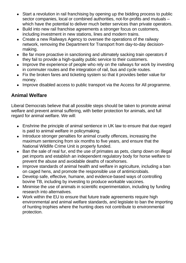- Start a revolution in rail franchising by opening up the bidding process to public sector companies, local or combined authorities, not-for-profits and mutuals – which have the potential to deliver much better services than private operators.
- Build into new rail franchise agreements a stronger focus on customers, including investment in new stations, lines and modern trains.
- Create a new Railways Agency to oversee the operations of the railway network, removing the Department for Transport from day-to-day decisionmaking.
- Be far more proactive in sanctioning and ultimately sacking train operators if they fail to provide a high-quality public service to their customers.
- Improve the experience of people who rely on the railways for work by investing in commuter routes and the integration of rail, bus and cycle routes.
- Fix the broken fares and ticketing system so that it provides better value for money.
- Improve disabled access to public transport via the Access for All programme.

### **Animal Welfare**

Liberal Democrats believe that all possible steps should be taken to promote animal welfare and prevent animal suffering, with better protection for animals, and full regard for animal welfare. We will:

- Enshrine the principle of animal sentience in UK law to ensure that due regard is paid to animal welfare in policymaking.
- Introduce stronger penalties for animal cruelty offences, increasing the maximum sentencing from six months to five years, and ensure that the National Wildlife Crime Unit is properly funded.
- Ban the sale of real fur, end the use of primates as pets, clamp down on illegal pet imports and establish an independent regulatory body for horse welfare to prevent the abuse and avoidable deaths of racehorses.
- Improve standards of animal health and welfare in agriculture, including a ban on caged hens, and promote the responsible use of antimicrobials.
- Develop safe, effective, humane, and evidence-based ways of controlling bovine TB, including by investing to produce workable vaccines.
- Minimise the use of animals in scientific experimentation, including by funding research into alternatives.
- Work within the EU to ensure that future trade agreements require high environmental and animal welfare standards, and legislate to ban the importing of hunting trophies where the hunting does not contribute to environmental protection.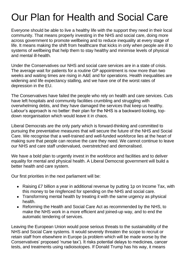# Our Plan for Health and Social Care

Everyone should be able to live a healthy life with the support they need in their local community. That means properly investing in the NHS and social care, doing more across government to promote wellbeing and to reduce inequality at every stage of life. It means making the shift from healthcare that kicks in only when people are ill to systems of wellbeing that help them to stay healthy and minimise levels of physical and mental ill-health.

Under the Conservatives our NHS and social care services are in a state of crisis. The average wait for patients for a routine GP appointment is now more than two weeks and waiting times are rising in A&E and for operations. Health inequalities are widening and life expectancy stalling, and we have one of the worst rates of depression in the EU.

The Conservatives have failed the people who rely on health and care services. Cuts have left hospitals and community facilities crumbling and struggling with overwhelming debts, and they have damaged the services that keep us healthy. Labour's approach is no better: their plan for the NHS is a backward-looking, topdown reorganisation which would leave it in chaos.

Liberal Democrats are the only party which is forward-thinking and committed to pursuing the preventative measures that will secure the future of the NHS and Social Care. We recognise that a well-trained and well-funded workforce lies at the heart of making sure that people can receive the care they need. We cannot continue to leave our NHS and care staff undervalued, overstretched and demoralised.

We have a bold plan to urgently invest in the workforce and facilities and to deliver equality for mental and physical health. A Liberal Democrat government will build a better health and care system.

Our first priorities in the next parliament will be:

- Raising £7 billion a year in additional revenue by putting 1p on Income Tax, with this money to be ringfenced for spending on the NHS and social care.
- Transforming mental health by treating it with the same urgency as physical health.
- Reforming the Health and Social Care Act as recommended by the NHS, to make the NHS work in a more efficient and joined-up way, and to end the automatic tendering of services.

Leaving the European Union would pose serious threats to the sustainability of the NHS and Social Care systems. It would severely threaten the scope to recruit or retain staff from elsewhere in Europe (a problem which will be made worse by the Conservatives' proposed 'nurse tax'). It risks potential delays to medicines, cancer tests, and treatments using radioisotopes. If Donald Trump has his way, it means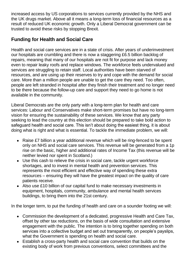increased access by US corporations to services currently provided by the NHS and the UK drugs market. Above all it means a long-term loss of financial resources as a result of reduced UK economic growth. Only a Liberal Democrat government can be trusted to avoid these risks by stopping Brexit.

### **Funding for Health and Social Care**

Health and social care services are in a state of crisis. After years of underinvestment our hospitals are crumbling and there is now a staggering £6.5 billion backlog of repairs, meaning that many of our hospitals are not fit for purpose and lack money even to repair leaky roofs and replace windows. The workforce feels undervalued and services are struggling to retain staff. Local authorities have been starved of resources, and are using up their reserves to try and cope with the demand for social care. More than a million people are unable to get the care they need. Too often, people are left stranded in hospital after they finish their treatment and no longer need to be there because the follow-up care and support they need to go home is not available in the community.

Liberal Democrats are the only party with a long-term plan for health and care services: Labour and Conservatives make short-term promises but have no long-term vision for ensuring the sustainability of these services. We know that any party seeking to lead the country at this election should be prepared to take bold action to safeguard health and social care. This isn't about doing the easiest thing, it is about doing what is right and what is essential. To tackle the immediate problem, we will:

- Raise £7 billion a year additional revenue which will be ring-fenced to be spent only on NHS and social care services. This revenue will be generated from a 1p rise on the basic, higher and additional rates of Income Tax (this revenue will be neither levied nor spent in Scotland.)
- Use this cash to relieve the crisis in social care, tackle urgent workforce shortages, and to invest in mental health and prevention services. This represents the most efficient and effective way of spending these extra resources – ensuring they will have the greatest impact on the quality of care patients receive.
- Also use £10 billion of our capital fund to make necessary investments in equipment, hospitals, community, ambulance and mental health services buildings, to bring them into the 21st century.

In the longer term, to put the funding of health and care on a sounder footing we will:

- Commission the development of a dedicated, progressive Health and Care Tax, offset by other tax reductions, on the basis of wide consultation and extensive engagement with the public. The intention is to bring together spending on both services into a collective budget and set out transparently, on people's payslips, what the Government is spending on health and social care.
- Establish a cross-party health and social care convention that builds on the existing body of work from previous conventions, select committees and the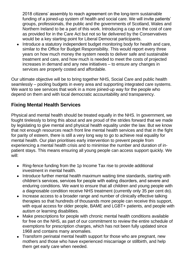2018 citizens' assembly to reach agreement on the long-term sustainable funding of a joined-up system of health and social care. We will invite patients' groups, professionals, the public and the governments of Scotland, Wales and Northern Ireland to be a part of this work. Introducing a cap on the cost of care as provided for in the Care Act but not so far delivered by the Conservatives would be a key starting point for Liberal Democrat participants.

• Introduce a statutory independent budget monitoring body for health and care, similar to the Office for Budget Responsibility. This would report every three years on how much money the system needs to deliver safe and sustainable treatment and care, and how much is needed to meet the costs of projected increases in demand and any new initiatives – to ensure any changes in services are properly costed and affordable.

Our ultimate objective will be to bring together NHS, Social Care and public health seamlessly – pooling budgets in every area and supporting integrated care systems. We want to see services that work in a more joined-up way for the people who depend on them and with local democratic accountability and transparency.

#### **Fixing Mental Health Services**

Physical and mental health should be treated equally in the NHS. In government, we fought tirelessly to bring this about and are proud of the strides forward that we made by legislating to give mental and physical health equality under the law. But we know that not enough resources reach front line mental health services and that in the fight for parity of esteem, there is still a very long way to go to achieve real equality for mental health. Our plan prioritises early intervention to prevent people from experiencing a mental health crisis and to minimise the number and duration of inpatient stays. This means ensuring all young people can access support quickly. We will:

- Ring-fence funding from the 1p Income Tax rise to provide additional investment in mental health.
- Introduce further mental health maximum waiting time standards, starting with children's services, services for people with eating disorders, and severe and enduring conditions. We want to ensure that all children and young people with a diagnosable condition receive NHS treatment (currently only 35 per cent do).
- Increase access to a broader range and number of clinically effective talking therapies so that hundreds of thousands more people can receive this support, with equal access for older people, BAME and LGBT+ patients, and people with autism or learning disabilities.
- Make prescriptions for people with chronic mental health conditions available for free on the NHS, as part of our commitment to review the entire schedule of exemptions for prescription charges, which has not been fully updated since 1968 and contains many anomalies.
- Transform perinatal mental health support for those who are pregnant, new mothers and those who have experienced miscarriage or stillbirth, and help them get early care when needed.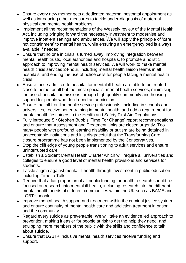- Ensure every new mother gets a dedicated maternal postnatal appointment as well as introducing other measures to tackle under-diagnosis of maternal physical and mental health problems.
- Implement all the recommendations of the Wessely review of the Mental Health Act, including bringing forward the necessary investment to modernise and improve inpatient settings and ambulances. We will apply the principle of 'care not containment' to mental health, while ensuring an emergency bed is always available if needed.
- Ensure that no one in crisis is turned away, improving integration between mental health trusts, local authorities and hospitals, to promote a holistic approach to improving mental health services. We will work to make mental health crisis services 24-hour, including mental health liaison teams in all hospitals, and ending the use of police cells for people facing a mental health crisis.
- Ensure those admitted to hospital for mental ill-health are able to be treated close to home for all but the most specialist mental health services, minimising the use of hospital admissions through high-quality community and housing support for people who don't need an admission.
- Ensure that all frontline public service professionals, including in schools and universities, receive better training in mental health, and add a requirement for mental health first aiders in the Health and Safety First Aid Regulations.
- Fully introduce Sir Stephen Bubb's 'Time For Change' report recommendations and ensure that Assessment and Treatment Units are closed urgently. Too many people with profound learning disability or autism are being detained in unacceptable institutions and it is disgraceful that the Transforming Care closure programme has not been implemented by the Conservatives.
- Stop the cliff edge of young people transitioning to adult services and ensure uninterrupted care.
- Establish a Student Mental Health Charter which will require all universities and colleges to ensure a good level of mental health provisions and services for students.
- Tackle stigma against mental ill-health through investment in public education including Time to Talk.
- Require that a fair proportion of all public funding for health research should be focused on research into mental ill-health, including research into the different mental health needs of different communities within the UK such as BAME and LGBT+ people.
- Improve mental health support and treatment within the criminal justice system and ensure continuity of mental health care and addiction treatment in prison and the community.
- Regard every suicide as preventable. We will take an evidence led approach to prevention, making it easier for people at risk to get the help they need, and equipping more members of the public with the skills and confidence to talk about suicide.
- Ensure that LGBT+ inclusive mental health services receive funding and support.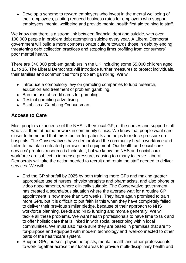• Develop a scheme to reward employers who invest in the mental wellbeing of their employees, piloting reduced business rates for employers who support employees' mental wellbeing and provide mental health first aid training to staff.

We know that there is a strong link between financial debt and suicide, with over 100,000 people in problem debt attempting suicide every year. A Liberal Democrat government will build a more compassionate culture towards those in debt by ending threatening debt collection practices and stopping firms profiting from consumers' poor mental health.

There are 340,000 problem gamblers in the UK including some 55,000 children aged 11 to 16. The Liberal Democrats will introduce further measures to protect individuals, their families and communities from problem gambling. We will:

- Introduce a compulsory levy on gambling companies to fund research, education and treatment of problem gambling.
- Ban the use of credit cards for gambling.
- Restrict gambling advertising.
- Establish a Gambling Ombudsman.

# **Access to Care**

Most people's experience of the NHS is their local GP, or the nurses and support staff who visit them at home or work in community clinics. We know that people want care closer to home and that this is better for patients and helps to reduce pressure on hospitals. The Conservatives have demoralised the community health workforce and failed to maintain outdated premises and equipment. Our health and social care services' greatest resource is their staff, but we know the NHS and social care workforce are subject to immense pressure, causing too many to leave. Liberal Democrats will take the action needed to recruit and retain the staff needed to deliver services. We will:

- End the GP shortfall by 2025 by both training more GPs and making greater appropriate use of nurses, physiotherapists and pharmacists, and also phone or video appointments, where clinically suitable. The Conservative government has created a scandalous situation where the average wait for a routine GP appointment is now more than two weeks. They have again promised to train more GPs, but it is difficult to put faith in this when they have completely failed to deliver their previous similar pledge, because of their approach to NHS workforce planning, Brexit and NHS funding and morale generally. We will tackle all these problems. We want health professionals to have time to talk and to offer holistic care that is linked in with social prescribing within local communities. We must also make sure they are based in premises that are fitfor-purpose and equipped with modern technology and well-connected to other parts of the healthcare system.
- Support GPs, nurses, physiotherapists, mental health and other professionals to work together across their local areas to provide multi-disciplinary health and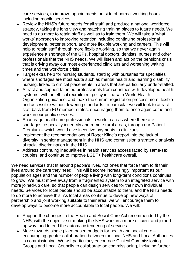care services, to improve appointments outside of normal working hours, including mobile services.

- Review the NHS's future needs for all staff, and produce a national workforce strategy, taking the long view and matching training places to future needs. We need to do more to retain staff as well as to train them. We will take a 'what works' approach to improving retention including continuing professional development, better support, and more flexible working and careers. This will help to retain staff through more flexible working, so that we never again experience a shortage of the GPs, hospital doctors, dentists, nurses and other professionals that the NHS needs. We will listen and act on the pensions crisis that is driving away our most experienced clinicians and worsening waiting times and the workforce crisis.
- Target extra help for nursing students, starting with bursaries for specialties where shortages are most acute such as mental health and learning disability nursing, linked to clinical placements in areas that are particularly under-staffed.
- Attract and support talented professionals from countries with developed health systems, with an ethical recruitment policy in line with World Health Organization guidance, and make the current registration process more flexible and accessible without lowering standards. In particular we will look to attract staff back from EU member states, encouraging them to once again come and work in our public services.
- Encourage healthcare professionals to work in areas where there are shortages, especially inner city and remote rural areas, through our Patient Premium – which would give incentive payments to clinicians.
- Implement the recommendations of Roger Kline's report into the lack of diversity in senior management in the NHS and commission a strategic analysis of racial discrimination in the NHS.
- Address continuing inequalities in health services access faced by same-sex couples, and continue to improve LGBT+ healthcare overall.

We need services that fit around people's lives, not ones that force them to fit their lives around the care they need. This will become increasingly important as our population ages and the number of people living with long-term conditions continues to grow. We must move away from a fragmented system to an integrated service with more joined-up care, so that people can design services for their own individual needs. Services for local people should be accountable to them, and the NHS needs to do more to achieve this. As local areas continue to develop new ways of partnership and joint working suitable to their area, we will encourage them to develop ways to become more accountable to local people. We will:

- Support the changes to the Health and Social Care Act recommended by the NHS, with the objective of making the NHS work in a more efficient and joinedup way, and to end the automatic tendering of services.
- Move towards single place-based budgets for health and social care encouraging greater collaboration between the local NHS and Local Authorities in commissioning. We will particularly encourage Clinical Commissioning Groups and Local Councils to collaborate on commissioning, including further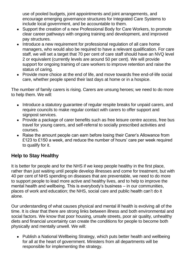use of pooled budgets, joint appointments and joint arrangements, and encourage emerging governance structures for Integrated Care Systems to include local government, and be accountable to them.

- Support the creation of a new Professional Body for Care Workers, to promote clear career pathways with ongoing training and development, and improved pay structures.
- Introduce a new requirement for professional regulation of all care home managers, who would also be required to have a relevant qualification. For care staff, we will set a target that 70 per cent of care staff should have an NVQ level 2 or equivalent (currently levels are around 50 per cent). We will provide support for ongoing training of care workers to improve retention and raise the status of caring.
- Provide more choice at the end of life, and move towards free end-of-life social care, whether people spend their last days at home or in a hospice.

The number of family carers is rising. Carers are unsung heroes; we need to do more to help them. We will:

- Introduce a statutory guarantee of regular respite breaks for unpaid carers, and require councils to make regular contact with carers to offer support and signpost services.
- Provide a package of carer benefits such as free leisure centre access, free bus travel for young carers, and self-referral to socially prescribed activities and courses.
- Raise the amount people can earn before losing their Carer's Allowance from £123 to £150 a week, and reduce the number of hours' care per week required to qualify for it.

#### **Help to Stay Healthy**

It is better for people and for the NHS if we keep people healthy in the first place, rather than just waiting until people develop illnesses and come for treatment, but with 40 per cent of NHS spending on diseases that are preventable, we need to do more to support people to lead more active and healthy lives, and to help to improve the mental health and wellbeing. This is everybody's business – in our communities, places of work and education; the NHS, social care and public health can't do it alone.

Our understanding of what causes physical and mental ill health is evolving all of the time. It is clear that there are strong links between illness and both environmental and social factors. We know that poor housing, unsafe streets, poor air quality, unhealthy diets and financial uncertainty can create the conditions for people to become both physically and mentally unwell. We will:

• Publish a National Wellbeing Strategy, which puts better health and wellbeing for all at the heart of government. Ministers from all departments will be responsible for implementing the strategy.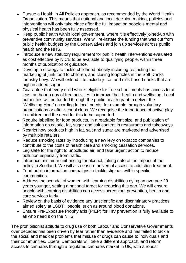- Pursue a Health in All Policies approach, as recommended by the World Health Organization. This means that national and local decision making, policies and interventions will only take place after the full impact on people's mental and physical health has been fully assessed.
- Keep public health within local government, where it is effectively joined-up with preventive community services. We will re-instate the funding that was cut from public health budgets by the Conservatives and join up services across public health and the NHS.
- Introduce a new statutory requirement for public health interventions evaluated as cost effective by NICE to be available to qualifying people, within three months of publication of guidance.
- Develop a strategy to tackle childhood obesity including restricting the marketing of junk food to children, and closing loopholes in the Soft Drinks Industry Levy. We will extend it to include juice- and milk-based drinks that are high in added sugar.
- Guarantee that every child who is eligible for free school meals has access to at least an hour a day of free activities to improve their health and wellbeing. Local authorities will be funded through the public health grant to deliver the 'Wellbeing Hour' according to local needs, for example through voluntary organisations or after-school clubs. We recognise the importance of active play to children and the need for this to be supported.
- Require labelling for food products, in a readable font size, and publication of information on calorie, fat, sugar and salt content in restaurants and takeaways.
- Restrict how products high in fat, salt and sugar are marketed and advertised by multiple retailers.
- Reduce smoking rates by introducing a new levy on tobacco companies to contribute to the costs of health care and smoking cessation services.
- Legislate for the right to unpolluted air, and take urgent action to reduce pollution especially from traffic.
- Introduce minimum unit pricing for alcohol, taking note of the impact of the policy in Scotland. We will also ensure universal access to addiction treatment.
- Fund public information campaigns to tackle stigmas within specific communities.
- Address the scandal of women with learning disabilities dying an average 20 years younger, setting a national target for reducing this gap. We will ensure people with learning disabilities can access screening, prevention, health and care services fairly.
- Review on the basis of evidence any unscientific and discriminatory practices aimed solely at LGBT+ people, such as around blood donations.
- Ensure Pre-Exposure Prophylaxis (PrEP) for HIV prevention is fully available to all who need it on the NHS.

The prohibitionist attitude to drug use of both Labour and Conservative Governments over decades has been driven by fear rather than evidence and has failed to tackle the social and medical problems that misuse of drugs can cause to individuals and their communities. Liberal Democrats will take a different approach, and reform access to cannabis through a regulated cannabis market in UK, with a robust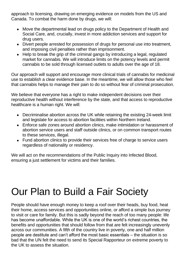approach to licensing, drawing on emerging evidence on models from the US and Canada. To combat the harm done by drugs, we will:

- Move the departmental lead on drugs policy to the Department of Health and Social Care, and, crucially, invest in more addiction services and support for drug users.
- Divert people arrested for possession of drugs for personal use into treatment, and imposing civil penalties rather than imprisonment.
- Help to break the grip of the criminal gangs by introducing a legal, regulated market for cannabis. We will introduce limits on the potency levels and permit cannabis to be sold through licensed outlets to adults over the age of 18.

Our approach will support and encourage more clinical trials of cannabis for medicinal use to establish a clear evidence base. In the meantime, we will allow those who feel that cannabis helps to manage their pain to do so without fear of criminal prosecution.

We believe that everyone has a right to make independent decisions over their reproductive health without interference by the state, and that access to reproductive healthcare is a human right. We will:

- Decriminalise abortion across the UK while retaining the existing 24-week limit and legislate for access to abortion facilities within Northern Ireland.
- Enforce safe zones around abortion clinics, make intimidation or harassment of abortion service users and staff outside clinics, or on common transport routes to these services, illegal.
- Fund abortion clinics to provide their services free of charge to service users regardless of nationality or residency.

We will act on the recommendations of the Public Inquiry into Infected Blood, ensuring a just settlement for victims and their families.

# Our Plan to Build a Fair Society

People should have enough money to keep a roof over their heads, buy food, heat their home, access services and opportunities online, or afford a simple bus journey to visit or care for family. But this is sadly beyond the reach of too many people: life has become unaffordable. While the UK is one of the world's richest countries, the benefits and opportunities that should follow from that are felt increasingly unevenly across our communities. A fifth of the country live in poverty, one and half million people are destitute and can't afford the most basic essentials – the situation is so bad that the UN felt the need to send its Special Rapporteur on extreme poverty to the UK to assess the situation.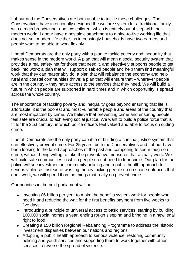Labour and the Conservatives are both unable to tackle these challenges. The Conservatives have intentionally designed the welfare system for a traditional family with a main breadwinner and two children, which is entirely out of step with the modern world. Labour have a nostalgic attachment to a nine-to-five working life that does not suit modern life either, as increasingly households have two earners and people want to be able to work flexibly.

Liberal Democrats are the only party with a plan to tackle poverty and inequality that makes sense in the modern world. A plan that will mean a social security system that provides a real safety net for those that need it, and effectively supports people to get back into work; a plan that will support disabled people and help them find meaningful work that they can reasonably do; a plan that will rebalance the economy and help rural and coastal communities thrive; a plan that will ensure that – wherever people are in the country – they have access to the services that they need. We will build a future in which people are supported in hard times and in which opportunity is spread across the whole country.

The importance of tackling poverty and inequality goes beyond ensuring that life is affordable: it is the poorest and most vulnerable people and areas of the country that are most impacted by crime. We believe that preventing crime and ensuring people feel safe are crucial to achieving social justice. We want to build a police force that is fit for the 21st century, in which police officers feel valued and able to focus on cutting crime.

Liberal Democrats are the only party capable of building a criminal justice system that can effectively prevent crime. For 25 years, both the Conservatives and Labour have been looking to the failed approaches of the past and competing to seem tough on crime, without being willing to take the preventative measures that actually work. We will build safe communities in which people do not need to fear crime. Our plan for the police will see investment in community policing and a public health approach to serious violence. Instead of wasting money locking people up on short sentences that don't work, we will spend it on the things that really do prevent crime.

Our priorities in the next parliament will be:

- Investing £6 billion per year to make the benefits system work for people who need it and reducing the wait for the first benefits payment from five weeks to five days.
- Introducing a principle of universal access to basic services: starting by building 100,000 social homes a year, ending rough sleeping and bringing in a new legal right to food.
- Creating a £50 billion Regional Rebalancing Programme to address the historic investment disparities between our nations and regions.
- Adopting a public health approach to serious violence: restoring community policing and youth services and supporting them to work together with other services to reverse the spread of violence.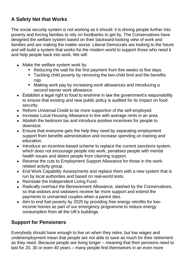# **A Safety Net that Works**

The social security system is not working as it should: it is driving people further into poverty and forcing families to rely on foodbanks to get by. The Conservatives have designed the welfare system based on their backward-looking view of work and families and are making the matter worse. Liberal Democrats are looking to the future and will build a system that works for the modern world to support those who need it and help people back into work. We will:

- Make the welfare system work by:
	- Reducing the wait for the first payment from five weeks to five days.
	- Tackling child poverty by removing the two-child limit and the benefits cap.
	- Making work pay by increasing work allowances and introducing a second earner work allowance.
- Establish a legal right to food to enshrine in law the government's responsibility to ensure that existing and new public policy is audited for its impact on food security.
- Reform Universal Credit to be more supportive of the self-employed.
- Increase Local Housing Allowance in line with average rents in an area.
- Abolish the bedroom tax and introduce positive incentives for people to downsize.
- Ensure that everyone gets the help they need by separating employment support from benefits administration and increase spending on training and education.
- Introduce an incentive-based scheme to replace the current sanctions system, which does not encourage people into work, penalises people with mental health issues and deters people from claiming support.
- Reverse the cuts to Employment Support Allowance for those in the workrelated activity group.
- End Work Capability Assessments and replace them with a new system that is run by local authorities and based on real-world tests.
- Reinstate the Independent Living Fund.
- Radically overhaul the Bereavement Allowance, slashed by the Conservatives, so that widows and widowers receive far more support and extend the payments to unmarried couples when a parent dies.
- Aim to end fuel poverty by 2025 by providing free energy retrofits for lowincome homes as part of our emergency programme to reduce energy consumption from all the UK's buildings.

#### **Support for Pensioners**

Everybody should have enough to live on when they retire, but low wages and underemployment mean that people are not able to save as much for their retirement as they need. Because people are living longer – meaning that their pensions need to last for 20, 30 or even 40 years – many people find themselves in an even more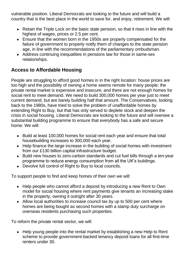vulnerable position. Liberal Democrats are looking to the future and will build a country that is the best place in the world to save for, and enjoy, retirement. We will:

- Retain the Triple Lock on the basic state pension, so that it rises in line with the highest of wages, prices or 2.5 per cent.
- Ensure that the women born in the 1950s are properly compensated for the failure of government to properly notify them of changes to the state pension age, in line with the recommendations of the parliamentary ombudsman.
- Address continuing inequalities in pensions law for those in same-sex relationships.

# **Access to Affordable Housing**

People are struggling to afford good homes in in the right location: house prices are too high and the possibility of owning a home seems remote for many people; the private rental market is expensive and insecure; and there are not enough homes for social rent to meet demand. We need to build 300,000 homes per year just to meet current demand, but are barely building half that amount. The Conservatives, looking back to the 1980s, have tried to solve the problem of unaffordable homes by extending Right to Buy, but that has only served to deplete stock and deepen the crisis in social housing. Liberal Democrats are looking to the future and will oversee a substantial building programme to ensure that everybody has a safe and secure home. We will:

- Build at least 100,000 homes for social rent each year and ensure that total housebuilding increases to 300,000 each year.
- Help finance the large increase in the building of social homes with investment from our £130 billion capital infrastructure budget.
- Build new houses to zero-carbon standards and cut fuel bills through a ten-year programme to reduce energy consumption from all the UK's buildings.
- Devolve full control of Right to Buy to local councils.

To support people to find and keep homes of their own we will:

- Help people who cannot afford a deposit by introducing a new Rent to Own model for social housing where rent payments give tenants an increasing stake in the property, owning it outright after 30 years.
- Allow local authorities to increase council tax by up to 500 per cent where homes are being bought as second homes with a stamp duty surcharge on overseas residents purchasing such properties.

To reform the private rental sector, we will:

• Help young people into the rental market by establishing a new Help to Rent scheme to provide government-backed tenancy deposit loans for all first-time renters under 30.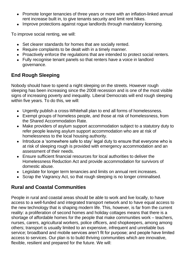- Promote longer tenancies of three years or more with an inflation-linked annual rent increase built in, to give tenants security and limit rent hikes.
- Improve protections against rogue landlords through mandatory licensing.

To improve social renting, we will:

- Set clearer standards for homes that are socially rented.
- Require complaints to be dealt with in a timely manner.
- Proactively enforce the regulations that are intended to protect social renters.
- Fully recognise tenant panels so that renters have a voice in landlord governance.

# **End Rough Sleeping**

Nobody should have to spend a night sleeping on the streets. However rough sleeping has been increasing since the 2008 recession and is one of the most visible signs of increasing poverty and inequality. Liberal Democrats will end rough sleeping within five years. To do this, we will:

- Urgently publish a cross-Whitehall plan to end all forms of homelessness.
- Exempt groups of homeless people, and those at risk of homelessness, from the Shared Accommodation Rate.
- Make providers of asylum support accommodation subject to a statutory duty to refer people leaving asylum support accommodation who are at risk of homelessness to the local housing authority.
- Introduce a 'somewhere safe to stay' legal duty to ensure that everyone who is at risk of sleeping rough is provided with emergency accommodation and an assessment of their needs.
- Ensure sufficient financial resources for local authorities to deliver the Homelessness Reduction Act and provide accommodation for survivors of domestic abuse.
- Legislate for longer term tenancies and limits on annual rent increases.
- Scrap the Vagrancy Act, so that rough sleeping is no longer criminalised.

#### **Rural and Coastal Communities**

People in rural and coastal areas should be able to work and live locally, to have access to a well-funded and integrated transport network and to have equal access to the new technology that is shaping modern life. This, however, is far from the current reality: a proliferation of second homes and holiday cottages means that there is a shortage of affordable homes for the people that make communities work – teachers, nurses, carers, agricultural workers, police officers, and shopkeepers, among among others; transport is usually limited to an expensive, infrequent and unreliable bus service; broadband and mobile services aren't fit for purpose; and people have limited access to services. Our plan is to build thriving communities which are innovative, flexible, resilient and prepared for the future. We will: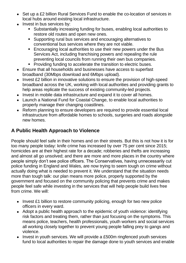- Set up a £2 billion Rural Services Fund to enable the co-location of services in local hubs around existing local infrastructure.
- Invest in bus services by:
	- Substantially increasing funding for buses, enabling local authorities to restore old routes and open new ones.
	- Supporting rural bus services and encouraging alternatives to conventional bus services where they are not viable.
	- **Encouraging local authorities to use their new powers under the Bus** Services Act, including franchising powers and repealing the rule preventing local councils from running their own bus companies.
	- Providing funding to accelerate the transition to electric buses.
- Ensure that all households and businesses have access to superfast broadband (30Mbps download and 6Mbps upload).
- Invest £2 billion in innovative solutions to ensure the provision of high-speed broadband across the UK, working with local authorities and providing grants to help areas replicate the success of existing community-led projects.
- Invest in mobile data infrastructure and expand it to cover all homes.
- Launch a National Fund for Coastal Change, to enable local authorities to properly manage their changing coastlines.
- Reform planning to ensure developers are required to provide essential local infrastructure from affordable homes to schools, surgeries and roads alongside new homes.

# **A Public Health Approach to Violence**

People should feel safe in their homes and on their streets. But this is not how it is for too many people today: knife crime has increased by over 75 per cent since 2015; homicides are at their highest rate for a decade; robberies and thefts are increasing and almost all go unsolved; and there are more and more places in the country where people simply don't see police officers. The Conservatives, having unnecessarily cut police funding in England and Wales, are now trying to seem tough on crime without actually doing what is needed to prevent it. We understand that the situation needs more than tough talk: our plan means more police, properly supported by the government and focused on the community policing that prevents crime and makes people feel safe while investing in the services that will help people build lives free from crime. We will:

- Invest £1 billion to restore community policing, enough for two new police officers in every ward.
- Adopt a public health approach to the epidemic of youth violence: identifying risk factors and treating them, rather than just focusing on the symptoms. This means police, teachers, health professionals, youth workers and social services all working closely together to prevent young people falling prey to gangs and violence.
- Invest in youth services. We will provide a £500m ringfenced youth services fund to local authorities to repair the damage done to youth services and enable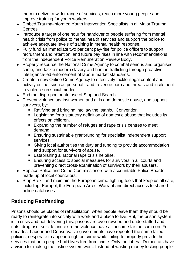them to deliver a wider range of services, reach more young people and improve training for youth workers.

- Embed Trauma-informed Youth Intervention Specialists in all Major Trauma Centres.
- Introduce a target of one hour for handover of people suffering from mental health crisis from police to mental health services and support the police to achieve adequate levels of training in mental health response.
- Fully fund an immediate two per cent pay-rise for police officers to support recruitment and retention, and future pay rises in line with recommendations from the independent Police Remuneration Review Body.
- Properly resource the National Crime Agency to combat serious and organised crime, and tackle modern slavery and human trafficking through proactive, intelligence-led enforcement of labour market standards.
- Create a new Online Crime Agency to effectively tackle illegal content and activity online, such as personal fraud, revenge porn and threats and incitement to violence on social media.
- End the disproportionate use of Stop and Search.
- Prevent violence against women and girls and domestic abuse, and support survivors, by:
	- Ratifying and bringing into law the Istanbul Convention.
	- Legislating for a statutory definition of domestic abuse that includes its effects on children.
	- Expanding the number of refuges and rape crisis centres to meet demand.
	- Ensuring sustainable grant-funding for specialist independent support services.
	- Giving local authorities the duty and funding to provide accommodation and support for survivors of abuse.
	- Establishing a national rape crisis helpline.
	- Ensuring access to special measures for survivors in all courts and preventing direct cross-examination of survivors by their abusers.
- Replace Police and Crime Commissioners with accountable Police Boards made up of local councillors.
- Stop Brexit and maintain the European crime-fighting tools that keep us all safe, including: Europol, the European Arrest Warrant and direct access to shared police databases.

# **Reducing Reoffending**

Prisons should be places of rehabilitation: when people leave them they should be ready to reintegrate into society with work and a place to live. But, the prison system is in crisis and not delivering this: prisons are overcrowded and understaffed and riots, drug use, suicide and extreme violence have all become far too common. For decades, Labour and Conservative governments have repeated the same failed policies, desperate to appear tough on crime while failing to properly provide the services that help people build lives free from crime. Only the Liberal Democrats have a vision for making the justice system work. Instead of wasting money locking people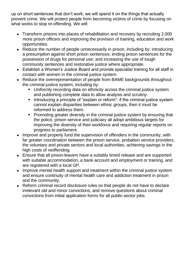up on short sentences that don't work, we will spend it on the things that actually prevent crime. We will protect people from becoming victims of crime by focusing on what works to stop re-offending. We will:

- Transform prisons into places of rehabilitation and recovery by recruiting 2,000 more prison officers and improving the provision of training, education and work opportunities.
- Reduce the number of people unnecessarily in prison, including by: introducing a presumption against short prison sentences; ending prison sentences for the possession of drugs for personal use; and increasing the use of tough community sentences and restorative justice where appropriate.
- Establish a Women's Justice Board and provide specialist training for all staff in contact with women in the criminal justice system.
- Reduce the overrepresentation of people from BAME backgrounds throughout the criminal justice system, including by:
	- Uniformly recording data on ethnicity across the criminal justice system and publishing complete data to allow analysis and scrutiny.
	- **•** Introducing a principle of "explain or reform": if the criminal justice system cannot explain disparities between ethnic groups, then it must be reformed to address them.
	- **Promoting greater diversity in the criminal justice system by ensuring that** the police, prison service and judiciary all adopt ambitious targets for improving the diversity of their workforce and requiring regular reports on progress to parliament.
- Improve and properly fund the supervision of offenders in the community, with far greater coordination between the prison service, probation service providers, the voluntary and private sectors and local authorities, achieving savings in the high costs of reoffending.
- Ensure that all prison-leavers have a suitably timed release and are supported with suitable accommodation, a bank account and employment or training, and are registered with a local GP.
- Improve mental health support and treatment within the criminal justice system and ensure continuity of mental health care and addiction treatment in prison and the community.
- Reform criminal record disclosure rules so that people do not have to declare irrelevant old and minor convictions, and remove questions about criminal convictions from initial application forms for all public-sector jobs.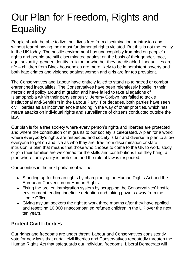# Our Plan for Freedom, Rights and **Equality**

People should be able to live their lives free from discrimination or intrusion and without fear of having their most fundamental rights violated. But this is not the reality in the UK today. The hostile environment has unacceptably trampled on people's rights and people are still discriminated against on the basis of their gender, race, age, sexuality, gender identity, religion or whether they are disabled. Inequalities are rife – children from Black households are more likely to be in persistent poverty and both hate crimes and violence against women and girls are far too prevalent.

The Conservatives and Labour have entirely failed to stand up to hatred or combat entrenched inequalities. The Conservatives have been relentlessly hostile in their rhetoric and policy around migration and have failed to take allegations of Islamophobia within their party seriously; Jeremy Corbyn has failed to tackle institutional anti-Semitism in the Labour Party. For decades, both parties have seen civil liberties as an inconvenience standing in the way of other priorities, which has meant attacks on individual rights and surveillance of citizens conducted outside the law.

Our plan is for a free society where every person's rights and liberties are protected and where the contribution of migrants to our society is celebrated. A plan for a world where everybody's rights are respected and society is fair and diverse; a plan to allow everyone to get on and live as who they are, free from discrimination or state intrusion; a plan that means that those who choose to come to the UK to work, study or join their families are welcomed for the skills and contributions that they bring; a plan where family unity is protected and the rule of law is respected.

Our priorities in the next parliament will be:

- Standing up for human rights by championing the Human Rights Act and the European Convention on Human Rights.
- Fixing the broken immigration system by scrapping the Conservatives' hostile environment, ending indefinite detention and taking powers away from the Home Office.
- Giving asylum seekers the right to work three months after they have applied and resettling 10,000 unaccompanied refugee children in the UK over the next ten years.

#### **Protect Civil Liberties**

Our rights and freedoms are under threat. Labour and Conservatives consistently vote for new laws that curtail civil liberties and Conservatives repeatedly threaten the Human Rights Act that safeguards our individual freedoms. Liberal Democrats will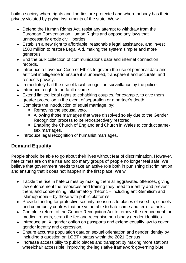build a society where rights and liberties are protected and where nobody has their privacy violated by prying instruments of the state. We will:

- Defend the Human Rights Act, resist any attempt to withdraw from the European Convention on Human Rights and oppose any laws that unnecessarily erode civil liberties.
- Establish a new right to affordable, reasonable legal assistance, and invest £500 million to restore Legal Aid, making the system simpler and more generous.
- End the bulk collection of communications data and internet connection records.
- Introduce a Lovelace Code of Ethics to govern the use of personal data and artificial intelligence to ensure it is unbiased, transparent and accurate, and respects privacy.
- Immediately halt the use of facial recognition surveillance by the police.
- Introduce a right to no-fault divorce.
- Extend limited legal rights to cohabiting couples, for example, to give them greater protection in the event of separation or a partner's death.
- Complete the introduction of equal marriage, by:
	- Removing the spousal veto.
	- Allowing those marriages that were dissolved solely due to the Gender Recognition process to be retrospectively restored.
	- Enabling the Church of England and Church in Wales to conduct samesex marriages.
- Introduce legal recognition of humanist marriages.

# **Demand Equality**

People should be able to go about their lives without fear of discrimination. However, hate crimes are on the rise and too many groups of people no longer feel safe. We believe that government needs to take an active role both in punishing discrimination and ensuring that it does not happen in the first place. We will:

- Tackle the rise in hate crimes by making them all aggravated offences, giving law enforcement the resources and training they need to identify and prevent them, and condemning inflammatory rhetoric – including anti-Semitism and Islamophobia – by those with public platforms.
- Provide funding for protective security measures to places of worship, schools and community centres that are vulnerable to hate crime and terror attacks.
- Complete reform of the Gender Recognition Act to remove the requirement for medical reports, scrap the fee and recognise non-binary gender identities.
- Introduce an 'X' gender option on passports and extend equality law to cover gender identity and expression.
- Ensure accurate population data on sexual orientation and gender identity by including a question on LGBT+ status within the 2021 Census.
- Increase accessibility to public places and transport by making more stations wheelchair accessible, improving the legislative framework governing blue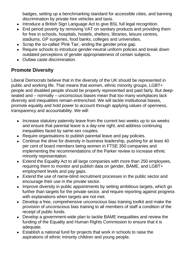badges, setting up a benchmarking standard for accessible cities, and banning discrimination by private hire vehicles and taxis.

- Introduce a British Sign Language Act to give BSL full legal recognition.
- End period poverty by removing VAT on sanitary products and providing them for free in schools, hospitals, hostels, shelters, libraries, leisure centres, stadiums, GP surgeries, food banks, colleges and universities.
- Scrap the so-called 'Pink Tax', ending the gender price gap.
- Require schools to introduce gender-neutral uniform policies and break down outdated perceptions of gender appropriateness of certain subjects.
- Outlaw caste discrimination.

### **Promote Diversity**

Liberal Democrats believe that in the diversity of the UK should be represented in public and working life. That means that women, ethnic minority groups, LGBT+ people and disabled people should be properly represented and paid fairly. But deepseated and – normally – unconscious biases mean that too many workplaces lack diversity and inequalities remain entrenched. We will tackle institutional biases, promote equality and hold power to account through applying values of openness, transparency and accountability. We will:

- Increase statutory paternity leave from the current two weeks up to six weeks and ensure that parental leave is a day-one right, and address continuing inequalities faced by same-sex couples.
- Require organisations to publish parental leave and pay policies.
- Continue the drive for diversity in business leadership, pushing for at least 40 per cent of board members being women in FTSE 350 companies and implementing the recommendations of the Parker review to increase ethnic minority representation.
- Extend the Equality Act to all large companies with more than 250 employees, requiring them to monitor and publish data on gender, BAME, and LGBT+ employment levels and pay gaps.
- Extend the use of name-blind recruitment processes in the public sector and encourage their use in the private sector.
- Improve diversity in public appointments by setting ambitious targets, which go further than targets for the private sector, and require reporting against progress with explanations when targets are not met.
- Develop a free, comprehensive unconscious bias training toolkit and make the provision of unconscious bias training to all members of staff a condition of the receipt of public funds.
- Develop a government-wide plan to tackle BAME inequalities and review the funding of the Equality and Human Rights Commission to ensure that it is adequate.
- Establish a national fund for projects that work in schools to raise the aspirations of ethnic minority children and young people.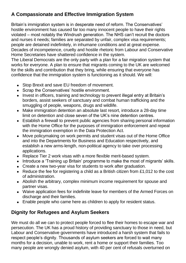# **A Compassionate and Effective Immigration System**

Britain's immigration system is in desperate need of reform. The Conservatives' hostile environment has caused far too many innocent people to have their rights violated – most notably the Windrush generation. The NHS can't recruit the doctors and nurses it needs; families are separated by unfair, complex visa requirements; people are detained indefinitely, in inhumane conditions and at great expense. Decades of incompetence, cruelty and hostile rhetoric from Labour and Conservative Home Secretaries have shattered confidence in the system.

The Liberal Democrats are the only party with a plan for a fair migration system that works for everyone. A plan to ensure that migrants coming to the UK are welcomed for the skills and contribution that they bring, while ensuring that everyone has confidence that the immigration system is functioning as it should. We will:

- Stop Brexit and save EU freedom of movement.
- Scrap the Conservatives' hostile environment.
- Invest in officers, training and technology to prevent illegal entry at Britain's borders, assist seekers of sanctuary and combat human trafficking and the smuggling of people, weapons, drugs and wildlife.
- Make immigration detention an absolute last resort, introduce a 28-day time limit on detention and close seven of the UK's nine detention centres.
- Establish a firewall to prevent public agencies from sharing personal information with the Home Office for the purposes of immigration enforcement and repeal the immigration exemption in the Data Protection Act.
- Move policymaking on work permits and student visas out of the Home Office and into the Departments for Business and Education respectively, and establish a new arms-length, non-political agency to take over processing applications.
- Replace Tier 2 work visas with a more flexible merit-based system.
- Introduce a 'Training up Britain' programme to make the most of migrants' skills.
- Create a new two-year visa for students to work after graduation.
- Reduce the fee for registering a child as a British citizen from £1,012 to the cost of administration.
- Abolish the arbitrary, complex minimum income requirement for spouse and partner visas.
- Waive application fees for indefinite leave for members of the Armed Forces on discharge and their families.
- Enable people who came here as children to apply for resident status.

# **Dignity for Refugees and Asylum Seekers**

We must do all we can to protect people forced to flee their homes to escape war and persecution. The UK has a proud history of providing sanctuary to those in need, but Labour and Conservative governments have introduced a harsh system that fails to respect people's dignity. Thousands of asylum seekers are forced to wait many months for a decision, unable to work, rent a home or support their families. Too many people are wrongly denied asylum, with 40 per cent of refusals overturned on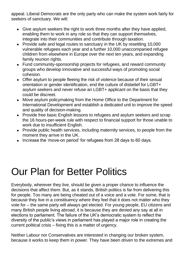appeal. Liberal Democrats are the only party who can make the system work fairly for seekers of sanctuary. We will:

- Give asylum seekers the right to work three months after they have applied, enabling them to work in any role so that they can support themselves, integrate into their communities and contribute through taxation.
- Provide safe and legal routes to sanctuary in the UK by resettling 10,000 vulnerable refugees each year and a further 10,000 unaccompanied refugee children from elsewhere in Europe over the next ten years, and expanding family reunion rights.
- Fund community-sponsorship projects for refugees, and reward community groups who develop innovative and successful ways of promoting social cohesion.
- Offer asylum to people fleeing the risk of violence because of their sexual orientation or gender identification, end the culture of disbelief for LGBT+ asylum seekers and never refuse an LGBT+ applicant on the basis that they could be discreet.
- Move asylum policymaking from the Home Office to the Department for International Development and establish a dedicated unit to improve the speed and quality of decision-making.
- Provide free basic English lessons to refugees and asylum seekers and scrap the 16 hours-per-week rule with respect to financial support for those unable to work due to insufficient English.
- Provide public health services, including maternity services, to people from the moment they arrive in the UK.
- Increase the 'move-on period' for refugees from 28 days to 60 days.

# Our Plan for Better Politics

Everybody, wherever they live, should be given a proper chance to influence the decisions that affect them. But, as it stands, British politics is far from delivering this for people. Too many are being cheated out of a voice and a vote. For some, that is because they live in a constituency where they feel that it does not matter who they vote for – the same party will always get elected. For young people, EU citizens and many British people living abroad, it is because they are denied any say at all in elections to parliament. The failure of the UK's democratic system to reflect the diversity of the public's views in parliament has played a major role in creating the current political crisis – fixing this is a matter of urgency.

Neither Labour nor Conservatives are interested in changing our broken system, because it works to keep them in power. They have been driven to the extremes and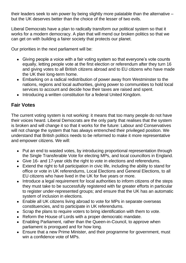their leaders seek to win power by being slightly more palatable than the alternative – but the UK deserves better than the choice of the lesser of two evils.

Liberal Democrats have a plan to radically transform our political system so that it works for a modern democracy. A plan that will mend our broken politics so that we can get on with building a fairer society that protects our planet.

Our priorities in the next parliament will be:

- Giving people a voice with a fair voting system so that everyone's vote counts equally, letting people vote at the first election or referendum after they turn 16 and giving votes to all British citizens abroad and to EU citizens who have made the UK their long-term home.
- Embarking on a radical redistribution of power away from Westminster to the nations, regions and local authorities, giving power to communities to hold local services to account and decide how their taxes are raised and spent.
- Introducing a written constitution for a federal United Kingdom.

### **Fair Votes**

The current voting system is not working: it means that too many people do not have their voices heard. Liberal Democrats are the only party that realises that the system is broken and will change it so that it works for the future: Labour and Conservatives will not change the system that has always entrenched their privileged position. We understand that British politics needs to be reformed to make it more representative and empower citizens. We will:

- Put an end to wasted votes, by introducing proportional representation through the Single Transferable Vote for electing MPs, and local councillors in England.
- Give 16- and 17-year olds the right to vote in elections and referendums.
- Extend the right to full participation in civic life, including the ability to stand for office or vote in UK referendums, Local Elections and General Elections, to all EU citizens who have lived in the UK for five years or more.
- Introduce a legal requirement for local authorities to inform citizens of the steps they must take to be successfully registered with far greater efforts in particular to register under-represented groups; and ensure that the UK has an automatic system of inclusion in elections.
- Enable all UK citizens living abroad to vote for MPs in separate overseas constituencies, and to participate in UK referendums.
- Scrap the plans to require voters to bring identification with them to vote.
- Reform the House of Lords with a proper democratic mandate.
- Enabling Parliament, rather than the Queen-in-Council, to approve when parliament is prorogued and for how long.
- Ensure that a new Prime Minister, and their programme for government, must win a confidence vote of MPs.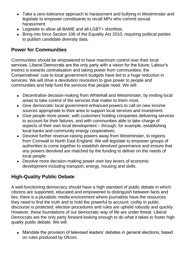- Take a zero-tolerance approach to harassment and bullying in Westminster and legislate to empower constituents to recall MPs who commit sexual harassment.
- Legislate to allow all-BAME and all-LGBT+ shortlists.
- Bring into force Section 106 of the Equality Act 2010, requiring political parties to publish candidate diversity data.

#### **Power for Communities**

Communities should be empowered to have maximum control over their local services. Liberal Democrats are the only party with a vision for the future: Labour's instinct is towards centralisation and taking power from communities; the Conservatives' cuts to local government budgets have led to a huge reduction in services. We will drive a devolution revolution to give power to people and communities and help fund the services that people need. We will:

- Decentralise decision-making from Whitehall and Westminster, by inviting local areas to take control of the services that matter to them most.
- Give democratic local government enhanced powers to call on new income sources appropriate to their area to support local services and investment.
- Give people more power, with customers holding companies delivering services to account for their failures, and with communities able to take charge of aspects of their own local development – through, for example, establishing local banks and community energy cooperatives.
- Devolve further revenue-raising powers away from Westminster, to regions from Cornwall to North East England. We will legislate to empower groups of authorities to come together to establish devolved governance and ensure that any powers devolved are matched by the funding to deliver on the needs of local people.
- Devolve more decision-making power over key levers of economic development including transport, energy, housing and skills.

# **High-Quality Public Debate**

A well-functioning democracy should have a high standard of public debate in which: citizens are supported, educated and empowered to distinguish between facts and lies; there is a pluralistic media environment where journalists have the resources they need to find the truth and to hold the powerful to account; civility in public discourse is protected; election procedures and rules are upheld robustly and quickly. However, these foundations of our democratic way of life are under threat. Liberal Democrats are the only party forward-looking enough to do what it takes to foster high quality public debate. We will:

• Mandate the provision of televised leaders' debates in general elections, based on rules produced by Ofcom.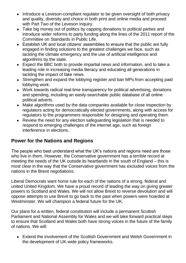- Introduce a Leveson-compliant regulator to be given oversight of both privacy and quality, diversity and choice in both print and online media and proceed with Part Two of the Leveson Inquiry.
- Take big money out of politics by capping donations to political parties and introduce wider reforms to party funding along the lines of the 2011 report of the Committee on Standards in Public Life.
- Establish UK and local citizens' assemblies to ensure that the public are fully engaged in finding solutions to the greatest challenges we face, such as tackling the climate emergency and the use of artificial intelligence and algorithms by the state.
- Expect the BBC both to provide impartial news and information, and to take a leading role in increasing media literacy and educating all generations in tackling the impact of fake news.
- Strengthen and expand the lobbying register and ban MPs from accepting paid lobbying work.
- Work towards radical real-time transparency for political advertising, donations and spending, including an easily-searchable public database of all online political adverts.
- Make algorithms used by the data companies available for close inspection by regulators acting for democratically elected governments, along with access for regulators to the programmers responsible for designing and operating them.
- Review the need for any election safeguarding legislation that is needed to respond to emerging challenges of the internet age, such as foreign interference in elections.

#### **Power for the Nations and Regions**

The people who best understand what the UK's nations and regions need are those who live in them. However, the Conservative government has a terrible record at meeting the needs of the UK outside its heartlands in the south of England – this is most clear in the way that the Conservative government has excluded voices from the nations in the Brexit negotiations.

Liberal Democrats want home rule for each of the nations of a strong, federal and united United Kingdom. We have a proud record of leading the way on giving greater powers to Scotland and Wales. We will not allow Brexit to reverse devolution and will oppose attempts to use Brexit to go back to the past when powers were hoarded at Westminster. We will champion a federal future for the UK.

Our plans for a written, federal constitution will include a permanent Scottish Parliament and National Assembly for Wales and we will take forward practical steps to ensure that Scotland and Wales both have strong voices in the future of the family of nations. We will:

• Extend the involvement of the Scottish Government and Welsh Government in the development of UK-wide policy frameworks.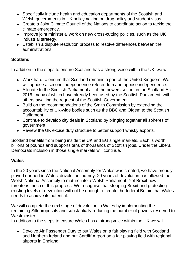- Specifically include health and education departments of the Scottish and Welsh governments in UK policymaking on drug policy and student visas.
- Create a Joint Climate Council of the Nations to coordinate action to tackle the climate emergency.
- Improve joint ministerial work on new cross-cutting policies, such as the UK industrial strategy.
- Establish a dispute resolution process to resolve differences between the administrations

#### **Scotland**

In addition to the steps to ensure Scotland has a strong voice within the UK, we will:

- Work hard to ensure that Scotland remains a part of the United Kingdom. We will oppose a second independence referendum and oppose independence.
- Allocate to the Scottish Parliament all of the powers set out in the Scotland Act 2016, many of which have already been used by the Scottish Parliament, with others awaiting the request of the Scottish Government.
- Build on the recommendations of the Smith Commission by extending the accountability of UK-wide bodies such as the BBC and Ofgem to the Scottish Parliament.
- Continue to develop city deals in Scotland by bringing together all spheres of government.
- Review the UK excise duty structure to better support whisky exports.

Scotland benefits from being inside the UK and EU single markets. Each is worth billions of pounds and supports tens of thousands of Scottish jobs. Under the Liberal Democrats inclusion in those single markets will continue.

#### **Wales**

In the 20 years since the National Assembly for Wales was created, we have proudly played our part in Wales' devolution journey: 20 years of devolution has allowed the Welsh National Assembly to mature into a Welsh Parliament. Yet Brexit now threatens much of this progress. We recognise that stopping Brexit and protecting existing levels of devolution will not be enough to create the federal Britain that Wales needs to achieve its potential.

We will complete the next stage of devolution in Wales by implementing the remaining Silk proposals and substantially reducing the number of powers reserved to Westminster.

In addition to the steps to ensure Wales has a strong voice within the UK we will:

• Devolve Air Passenger Duty to put Wales on a fair playing field with Scotland and Northern Ireland and put Cardiff Airport on a fair playing field with regional airports in England.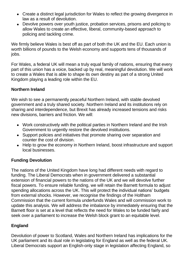- Create a distinct legal jurisdiction for Wales to reflect the growing divergence in law as a result of devolution.
- Devolve powers over youth justice, probation services, prisons and policing to allow Wales to create an effective, liberal, community-based approach to policing and tackling crime.

We firmly believe Wales is best off as part of both the UK and the EU. Each union is worth billions of pounds to the Welsh economy and supports tens of thousands of jobs.

For Wales, a federal UK will mean a truly equal family of nations, ensuring that every part of this union has a voice, backed up by real, meaningful devolution. We will work to create a Wales that is able to shape its own destiny as part of a strong United Kingdom playing a leading role within the EU.

#### **Northern Ireland**

We wish to see a permanently peaceful Northern Ireland, with stable devolved government and a truly shared society. Northern Ireland and its institutions rely on sharing and interdependence, but Brexit has already increased tensions and risks new divisions, barriers and friction. We will:

- Work constructively with the political parties in Northern Ireland and the Irish Government to urgently restore the devolved institutions.
- Support policies and initiatives that promote sharing over separation and counter the cost of division.
- Help to grow the economy in Northern Ireland, boost infrastructure and support local businesses.

#### **Funding Devolution**

The nations of the United Kingdom have long had different needs with regard to funding. The Liberal Democrats when in government delivered a substantial extension of financial powers to the nations of the UK and we will devolve further fiscal powers. To ensure reliable funding, we will retain the Barnett formula to adjust spending allocations across the UK. This will protect the individual nations' budgets from external shocks. However, we recognise the findings of the Holtham Commission that the current formula underfunds Wales and will commission work to update this analysis. We will address the imbalance by immediately ensuring that the Barnett floor is set at a level that reflects the need for Wales to be funded fairly and seek over a parliament to increase the Welsh block grant to an equitable level.

#### **England**

Devolution of power to Scotland, Wales and Northern Ireland has implications for the UK parliament and its dual role in legislating for England as well as the federal UK. Liberal Democrats support an English-only stage in legislation affecting England, so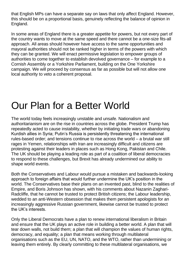that English MPs can have a separate say on laws that only affect England. However, this should be on a proportional basis, genuinely reflecting the balance of opinion in England.

In some areas of England there is a greater appetite for powers, but not every part of the country wants to move at the same speed and there cannot be a one-size fits-all approach. All areas should however have access to the same opportunities and mayoral authorities should not be ranked higher in terms of the powers with which they can be granted. We will enact permissive legislation to empower groups of authorities to come together to establish devolved governance – for example to a Cornish Assembly or a Yorkshire Parliament, building on the One Yorkshire campaign. We will proceed by consensus as far as possible but will not allow one local authority to veto a coherent proposal.

# Our Plan for a Better World

The world today feels increasingly unstable and unsafe. Nationalism and authoritarianism are on the rise in countries across the globe. President Trump has repeatedly acted to cause instability, whether by initiating trade wars or abandoning Kurdish allies in Syria; Putin's Russia is persistently threatening the international rules-based order; and tensions continue to rise across the world – a brutal war still rages in Yemen, relationships with Iran are increasingly difficult and citizens are protesting against their leaders in places such as Hong Kong, Pakistan and Chile. The UK should be playing a leading role as part of a coalition of liberal democracies to respond to these challenges, but Brexit has already undermined our ability to shape world events.

Both the Conservatives and Labour would pursue a mistaken and backwards-looking approach to foreign affairs that would further undermine the UK's position in the world. The Conservatives base their plans on an invented past, blind to the realities of Empire, and Boris Johnson has shown, with his comments about Nazanin Zaghari-Radcliffe, that he cannot be trusted to protect British citizens; the Labour leadership, wedded to an anti-Western obsession that makes them persistent apologists for an increasingly aggressive Russian government, likewise cannot be trusted to protect the UK's interests.

Only the Liberal Democrats have a plan to renew international liberalism in Britain and ensure that the UK plays an active role in building a better world. A plan that will tear down walls, not build them; a plan that will champion the values of human rights, democracy, and equality; a plan that means working through multilateral organisations such as the EU, UN, NATO, and the WTO, rather than undermining or leaving them entirely. By clearly committing to these multilateral organisations, we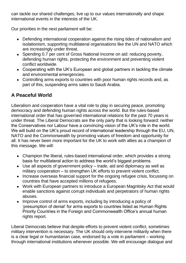can tackle our shared challenges, live up to our values internationally and shape international events in the interests of the UK.

Our priorities in the next parliament will be:

- Defending international cooperation against the rising tides of nationalism and isolationism, supporting multilateral organisations like the UN and NATO which are increasingly under threat.
- Spending 0.7 per cent of Gross National Income on aid: reducing poverty, defending human rights, protecting the environment and preventing violent conflict worldwide.
- Cooperating with the UK's European and global partners in tackling the climate and environmental emergencies.
- Controlling arms exports to countries with poor human rights records and, as part of this, suspending arms sales to Saudi Arabia.

# **A Peaceful World**

Liberalism and cooperation have a vital role to play in securing peace, promoting democracy and defending human rights across the world. But the rules-based international order that has governed international relations for the past 70 years is under threat. The Liberal Democrats are the only party that is looking forward: neither the Conservatives nor Labour have a convincing vision of the UK's role in the world. We will build on the UK's proud record of international leadership through the EU, UN, NATO and the Commonwealth by promoting values of freedom and opportunity for all. It has never been more important for the UK to work with allies as a champion of this message. We will:

- Champion the liberal, rules-based international order, which provides a strong basis for multilateral action to address the world's biggest problems.
- Use all aspects of government policy trade, aid and diplomacy as well as military cooperation – to strengthen UK efforts to prevent violent conflict.
- Increase overseas financial support for the ongoing refugee crisis, focussing on countries that have accepted millions of refugees.
- Work with European partners to introduce a European Magnitsky Act that would enable sanctions against corrupt individuals and perpetrators of human rights abuses.
- Improve control of arms exports, including by introducing a policy of 'presumption of denial' for arms exports to countries listed as Human Rights Priority Countries in the Foreign and Commonwealth Office's annual human rights report.

Liberal Democrats believe that despite efforts to prevent violent conflict, sometimes military intervention is necessary. The UK should only intervene militarily when there is a clear legal or humanitarian case, endorsed by a vote in parliament – working through international institutions whenever possible. We will encourage dialogue and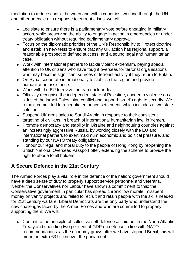mediation to reduce conflict between and within countries, working through the UN and other agencies. In response to current crises, we will:

- Legislate to ensure there is a parliamentary vote before engaging in military action, while preserving the ability to engage in action in emergencies or under treaty obligation without requiring parliamentary approval.
- Focus on the diplomatic priorities of the UN's Responsibility to Protect doctrine and establish new tests to ensure that any UK action has regional support, a reasonable prospect of defined success, and a sound legal and humanitarian case.
- Work with international partners to tackle violent extremism, paying special attention to UK citizens who have fought overseas for terrorist organisations who may become significant sources of terrorist activity if they return to Britain.
- On Syria, cooperate internationally to stabilise the region and provide humanitarian assistance.
- Work with the EU to revive the Iran nuclear deal.
- Officially recognise the independent state of Palestine, condemn violence on all sides of the Israeli-Palestinian conflict and support Israel's right to security. We remain committed to a negotiated peace settlement, which includes a two-state solution.
- Suspend UK arms sales to Saudi Arabia in response to their consistent targeting of civilians, in breach of international humanitarian law, in Yemen.
- Promote democracy and stability in Ukraine and neighbouring countries against an increasingly aggressive Russia, by working closely with the EU and international partners to exert maximum economic and political pressure, and standing by our NATO treaty obligations.
- Honour our legal and moral duty to the people of Hong Kong by reopening the British National Overseas Passport offer, extending the scheme to provide the right to abode to all holders.

# **A Secure Defence in the 21st Century**

The Armed Forces play a vital role in the defence of the nation: government should have a deep sense of duty to properly support service personnel and veterans. Neither the Conservatives nor Labour have shown a commitment to this: the Conservative government in particular has spread chronic low morale, misspent money on vanity projects and failed to recruit and retain people with the skills needed for 21st century warfare. Liberal Democrats are the only party who understand the new challenges faced by the Armed Forces and who are committed to properly supporting them. We will:

• Commit to the principle of collective self-defence as laid out in the North Atlantic Treaty and spending two per cent of GDP on defence in line with NATO recommendations: as the economy grows after we have stopped Brexit, this will mean an extra £3 billion over the parliament.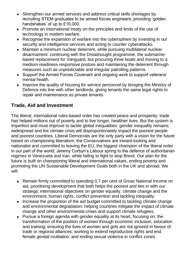- Strengthen our armed services and address critical skills shortages by recruiting STEM graduates to be armed forces engineers, providing 'golden handshakes' of up to £10,000.
- Promote an international treaty on the principles and limits of the use of technology in modern warfare.
- Recognise the expansion of warfare into the cybersphere by investing in our security and intelligence services and acting to counter cyberattacks.
- Maintain a minimum nuclear deterrent, while pursuing multilateral nuclear disarmament: continuing with the Dreadnought programme, the submarinebased replacement for Vanguard, but procuring three boats and moving to a medium-readiness responsive posture and maintaining the deterrent through measures such as unpredictable and irregular patrolling patterns.
- Support the Armed Forces Covenant and ongoing work to support veterans' mental health.
- Improve the quality of housing for service personnel by bringing the Ministry of Defence into line with other landlords, giving tenants the same legal rights to repair and maintenance as private tenants.

### **Trade, Aid and Investment**

The liberal, international rules-based order has created peace and prosperity: trade has helped millions out of poverty and to live longer, healthier lives. But the system is imperfect and must improve to tackle global inequalities: gender inequality remains widespread and the climate crisis will disproportionately impact the poorest people and poorest countries. Liberal Democrats are the only party with a vision for the future based on championing liberalism: the Conservatives are inward-looking and nationalist and committed to leaving the EU, the biggest champion of the liberal order in our part of the world; Jeremy Corbyn's Labour spring to the defence of authoritarian regimes in Venezuela and Iran, while failing to fight to stop Brexit. Our plan for the future is built on championing liberal and international values, ending poverty and promoting the UN Sustainable Development Goals both in the UK and abroad. We will:

- Remain firmly committed to spending 0.7 per cent of Gross National Income on aid, prioritising development that both helps the poorest and ties in with our strategic international objectives on gender equality, climate change and the environment, human rights, conflict prevention and tackling inequality.
- Increase the proportion of the aid budget committed to tackling climate change and environmental degradation: helping countries mitigate the impact of climate change and other environmental crises and support climate refugees.
- Pursue a foreign agenda with gender equality at its heart, focusing on: the transformation of the position of women through economic inclusion, education and training; ensuring the lives of women and girls are not ignored in favour of trade or regional alliances; working to extend reproductive rights and end female genital mutilation; and ending sexual violence in conflict zones.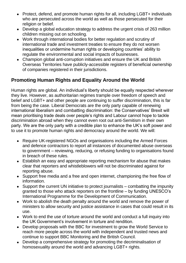- Protect, defend, and promote human rights for all, including LGBT+ individuals who are persecuted across the world as well as those persecuted for their religion or belief.
- Develop a global education strategy to address the urgent crisis of 263 million children missing out on schooling.
- Work through international bodies for better regulation and scrutiny of international trade and investment treaties to ensure they do not worsen inequalities or undermine human rights or developing countries' ability to regulate the environmental and social impacts of businesses.
- Champion global anti-corruption initiatives and ensure the UK and British Overseas Territories have publicly-accessible registers of beneficial ownership of companies registered in their jurisdictions.

# **Promoting Human Rights and Equality Around the World**

Human rights are global. An individual's liberty should be equally respected wherever they live. However, as authoritarian regimes trample over freedom of speech and belief and LGBT+ and other people are continuing to suffer discrimination, this is far from being the case. Liberal Democrats are the only party capable of renewing international liberalism and combatting discrimination: the Conservatives' Brexit will mean prioritising trade deals over people's rights and Labour cannot hope to tackle discrimination abroad when they cannot even root out anti-Semitism in their own party. We are the only party with a credible plan to enhance the UK's soft power and to use it to promote human rights and democracy around the world. We will:

- Require UK-registered NGOs and organisations including the Armed Forces and defence contractors to report all instances of documented abuse overseas to government – reviewing, reducing, or refusing funding to organisations found in breach of these rules.
- Establish an easy and appropriate reporting mechanism for abuse that makes clear that reporters and whistleblowers will not be discriminated against for reporting abuse.
- Support free media and a free and open internet, championing the free flow of information.
- Support the current UN initiative to protect journalists combatting the impunity granted to those who attack reporters on the frontline – by funding UNESCO's International Programme for the Development of Communication.
- Work to abolish the death penalty around the world and remove the power of ministers to allow security and justice assistance in cases that could result in its use.
- Work to end the use of torture around the world and conduct a full inquiry into the UK Government's involvement in torture and rendition.
- Develop proposals with the BBC for investment to grow the World Service to reach more people across the world with independent and trusted news and continue to support BBC Monitoring and the British Council.
- Develop a comprehensive strategy for promoting the decriminalisation of homosexuality around the world and advancing LGBT+ rights.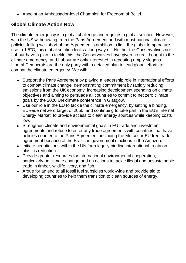• Appoint an Ambassador-level Champion for Freedom of Belief.

#### **Global Climate Action Now**

The climate emergency is a global challenge and requires a global solution. However, with the US withdrawing from the Paris Agreement and with most national climate policies falling well short of the Agreement's ambition to limit the global temperature rise to 1.5°C, this global solution looks a long way off. Neither the Conservatives nor Labour have a plan to tackle this: the Conservatives have given no real thought to the climate emergency, and Labour are only interested in repeating empty slogans. Liberal Democrats are the only party with a detailed plan to lead global efforts to combat the climate emergency. We will:

- Support the Paris Agreement by playing a leadership role in international efforts to combat climate change, demonstrating commitment by rapidly reducing emissions from the UK economy, increasing development spending on climate objectives and aiming to persuade all countries to commit to net zero climate goals by the 2020 UN climate conference in Glasgow.
- Use our role in the EU to tackle the climate emergency, by setting a binding, EU-wide net zero target of 2050, and continuing to take part in the EU's Internal Energy Market, to provide access to clean energy sources while keeping costs low.
- Strengthen climate and environmental goals in EU trade and investment agreements and refuse to enter any trade agreements with countries that have policies counter to the Paris Agreement, including the Mercosur-EU free trade agreement because of the Brazilian government's actions in the Amazon.
- Initiate negotiations within the UN for a legally binding international treaty on plastics reduction.
- Provide greater resources for international environmental cooperation, particularly on climate change and on actions to tackle illegal and unsustainable trade in timber, wildlife, ivory, and fish.
- Argue for an end to all fossil fuel subsidies world-wide and provide aid to developing countries to help them transition to clean sources of energy.